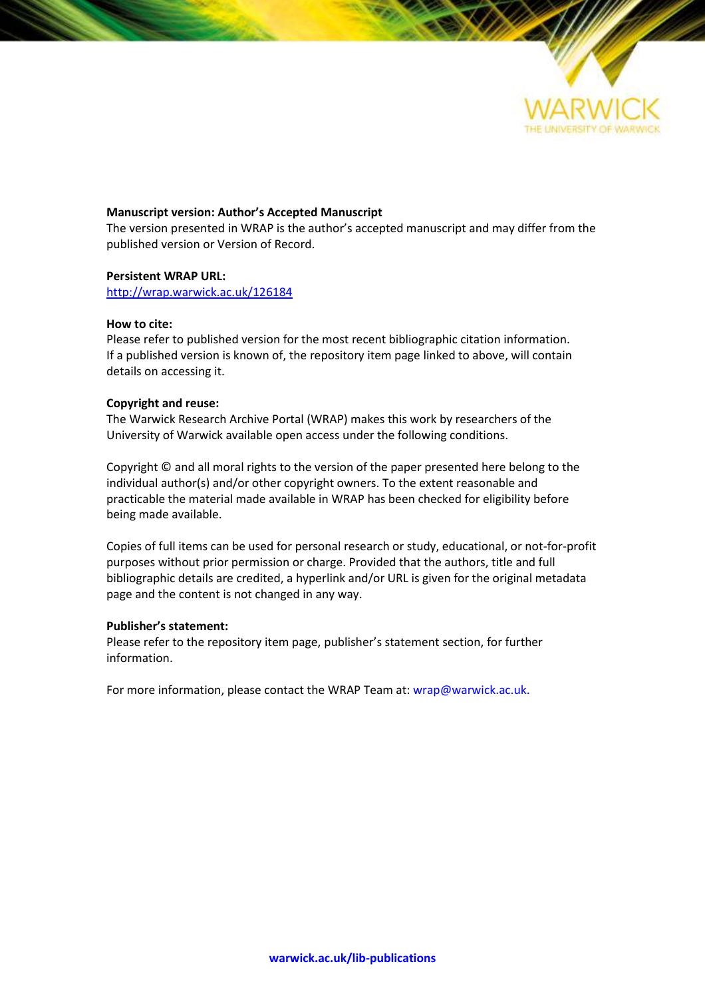

### **Manuscript version: Author's Accepted Manuscript**

The version presented in WRAP is the author's accepted manuscript and may differ from the published version or Version of Record.

#### **Persistent WRAP URL:**

<http://wrap.warwick.ac.uk/126184>

#### **How to cite:**

Please refer to published version for the most recent bibliographic citation information. If a published version is known of, the repository item page linked to above, will contain details on accessing it.

#### **Copyright and reuse:**

The Warwick Research Archive Portal (WRAP) makes this work by researchers of the University of Warwick available open access under the following conditions.

Copyright © and all moral rights to the version of the paper presented here belong to the individual author(s) and/or other copyright owners. To the extent reasonable and practicable the material made available in WRAP has been checked for eligibility before being made available.

Copies of full items can be used for personal research or study, educational, or not-for-profit purposes without prior permission or charge. Provided that the authors, title and full bibliographic details are credited, a hyperlink and/or URL is given for the original metadata page and the content is not changed in any way.

#### **Publisher's statement:**

Please refer to the repository item page, publisher's statement section, for further information.

For more information, please contact the WRAP Team at[: wrap@warwick.ac.uk.](mailto:wrap@warwick.ac.uk)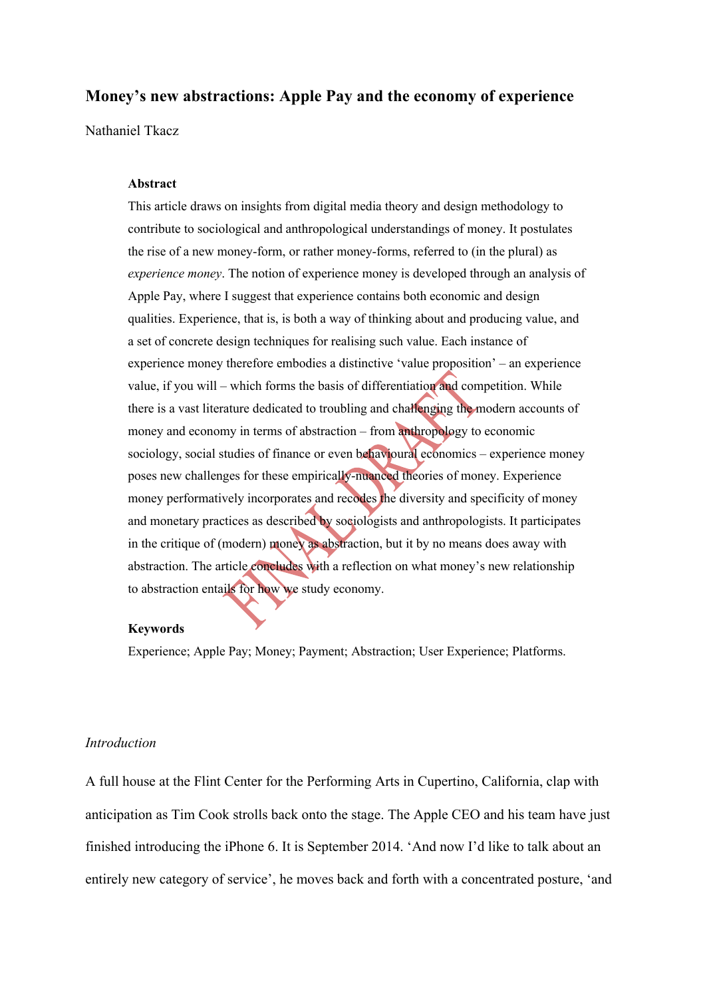# **Money's new abstractions: Apple Pay and the economy of experience**

Nathaniel Tkacz

#### **Abstract**

This article draws on insights from digital media theory and design methodology to contribute to sociological and anthropological understandings of money. It postulates the rise of a new money-form, or rather money-forms, referred to (in the plural) as *experience money*. The notion of experience money is developed through an analysis of Apple Pay, where I suggest that experience contains both economic and design qualities. Experience, that is, is both a way of thinking about and producing value, and a set of concrete design techniques for realising such value. Each instance of experience money therefore embodies a distinctive 'value proposition' – an experience value, if you will – which forms the basis of differentiation and competition. While there is a vast literature dedicated to troubling and challenging the modern accounts of money and economy in terms of abstraction – from anthropology to economic sociology, social studies of finance or even behavioural economics – experience money poses new challenges for these empirically-nuanced theories of money. Experience money performatively incorporates and recodes the diversity and specificity of money and monetary practices as described by sociologists and anthropologists. It participates in the critique of (modern) money as abstraction, but it by no means does away with abstraction. The article concludes with a reflection on what money's new relationship to abstraction entails for how we study economy.

#### **Keywords**

Experience; Apple Pay; Money; Payment; Abstraction; User Experience; Platforms.

### *Introduction*

A full house at the Flint Center for the Performing Arts in Cupertino, California, clap with anticipation as Tim Cook strolls back onto the stage. The Apple CEO and his team have just finished introducing the iPhone 6. It is September 2014. 'And now I'd like to talk about an entirely new category of service', he moves back and forth with a concentrated posture, 'and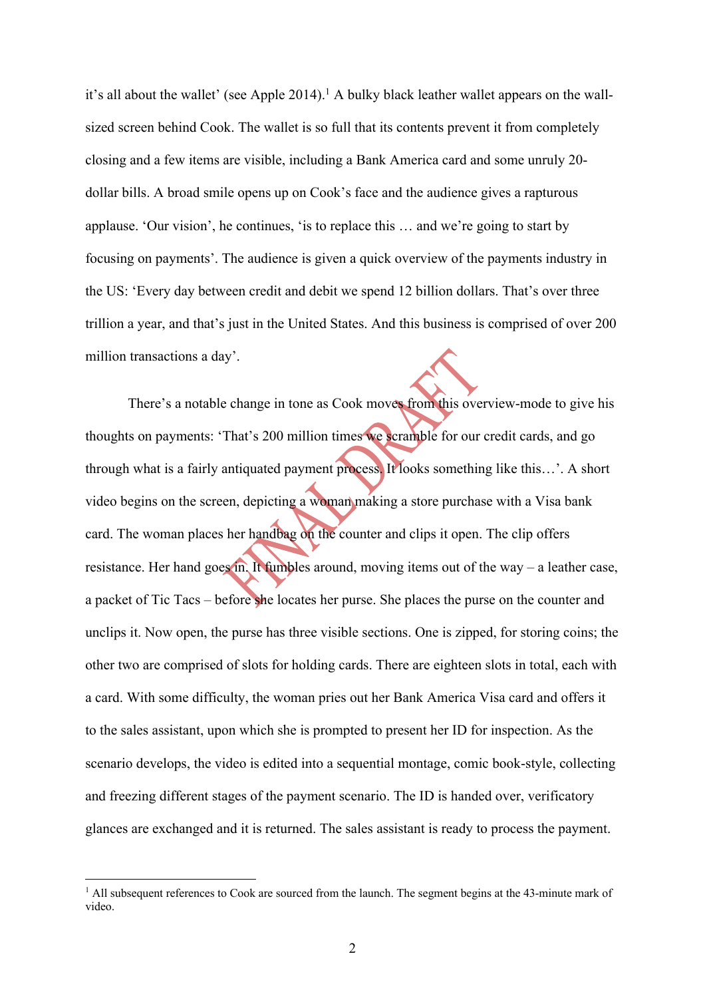it's all about the wallet' (see Apple 2014).<sup>1</sup> A bulky black leather wallet appears on the wallsized screen behind Cook. The wallet is so full that its contents prevent it from completely closing and a few items are visible, including a Bank America card and some unruly 20 dollar bills. A broad smile opens up on Cook's face and the audience gives a rapturous applause. 'Our vision', he continues, 'is to replace this … and we're going to start by focusing on payments'. The audience is given a quick overview of the payments industry in the US: 'Every day between credit and debit we spend 12 billion dollars. That's over three trillion a year, and that's just in the United States. And this business is comprised of over 200 million transactions a day'.

There's a notable change in tone as Cook moves from this overview-mode to give his thoughts on payments: 'That's 200 million times we scramble for our credit cards, and go through what is a fairly antiquated payment process. It looks something like this…'. A short video begins on the screen, depicting a woman making a store purchase with a Visa bank card. The woman places her handbag on the counter and clips it open. The clip offers resistance. Her hand goes in. It fumbles around, moving items out of the way – a leather case, a packet of Tic Tacs – before she locates her purse. She places the purse on the counter and unclips it. Now open, the purse has three visible sections. One is zipped, for storing coins; the other two are comprised of slots for holding cards. There are eighteen slots in total, each with a card. With some difficulty, the woman pries out her Bank America Visa card and offers it to the sales assistant, upon which she is prompted to present her ID for inspection. As the scenario develops, the video is edited into a sequential montage, comic book-style, collecting and freezing different stages of the payment scenario. The ID is handed over, verificatory glances are exchanged and it is returned. The sales assistant is ready to process the payment.

<sup>&</sup>lt;sup>1</sup> All subsequent references to Cook are sourced from the launch. The segment begins at the 43-minute mark of video.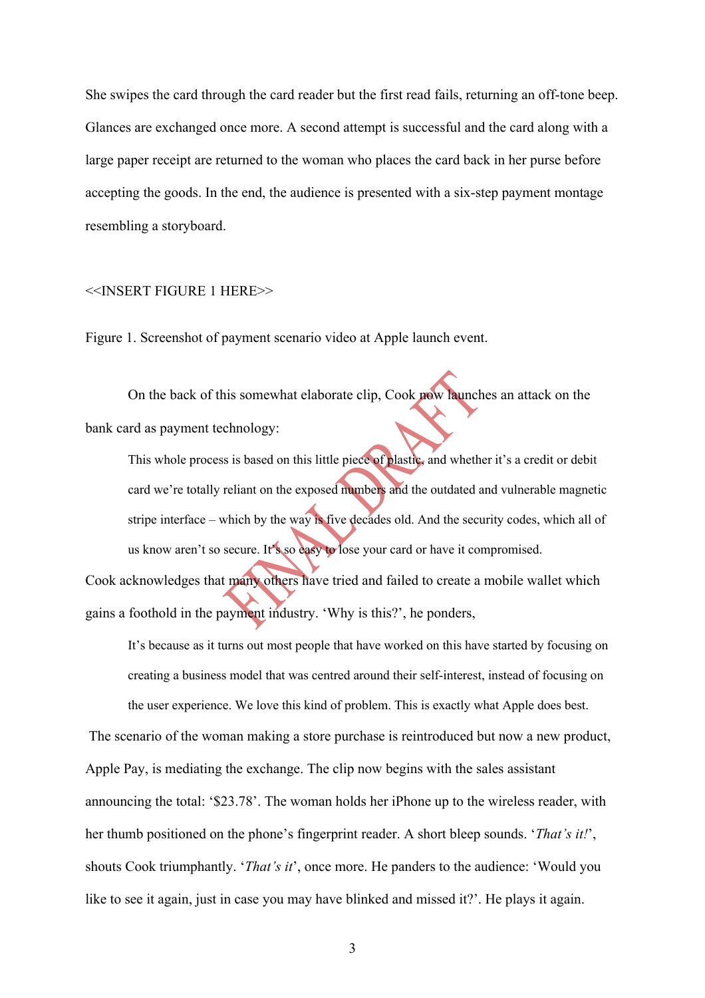She swipes the card through the card reader but the first read fails, returning an off-tone beep. Glances are exchanged once more. A second attempt is successful and the card along with a large paper receipt are returned to the woman who places the card back in her purse before accepting the goods. In the end, the audience is presented with a six-step payment montage resembling a storyboard.

### <<INSERT FIGURE 1 HERE>>

Figure 1. Screenshot of payment scenario video at Apple launch event.

On the back of this somewhat elaborate clip, Cook now launches an attack on the bank card as payment technology:

This whole process is based on this little piece of plastic, and whether it's a credit or debit card we're totally reliant on the exposed numbers and the outdated and vulnerable magnetic stripe interface – which by the way is five decades old. And the security codes, which all of us know aren't so secure. It's so easy to lose your card or have it compromised.

Cook acknowledges that many others have tried and failed to create a mobile wallet which gains a foothold in the payment industry. 'Why is this?', he ponders,

It's because as it turns out most people that have worked on this have started by focusing on creating a business model that was centred around their self-interest, instead of focusing on the user experience. We love this kind of problem. This is exactly what Apple does best.

The scenario of the woman making a store purchase is reintroduced but now a new product, Apple Pay, is mediating the exchange. The clip now begins with the sales assistant announcing the total: '\$23.78'. The woman holds her iPhone up to the wireless reader, with her thumb positioned on the phone's fingerprint reader. A short bleep sounds. '*That's it!*', shouts Cook triumphantly. '*That's it*', once more. He panders to the audience: 'Would you like to see it again, just in case you may have blinked and missed it?'. He plays it again.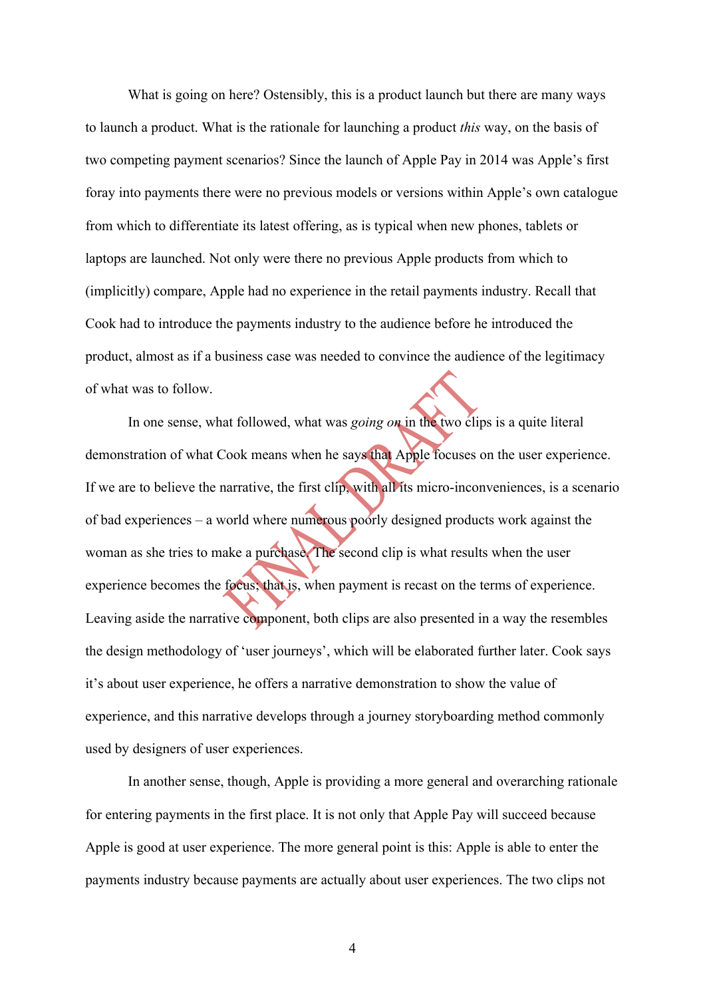What is going on here? Ostensibly, this is a product launch but there are many ways to launch a product. What is the rationale for launching a product *this* way, on the basis of two competing payment scenarios? Since the launch of Apple Pay in 2014 was Apple's first foray into payments there were no previous models or versions within Apple's own catalogue from which to differentiate its latest offering, as is typical when new phones, tablets or laptops are launched. Not only were there no previous Apple products from which to (implicitly) compare, Apple had no experience in the retail payments industry. Recall that Cook had to introduce the payments industry to the audience before he introduced the product, almost as if a business case was needed to convince the audience of the legitimacy of what was to follow.

In one sense, what followed, what was *going on* in the two clips is a quite literal demonstration of what Cook means when he says that Apple focuses on the user experience. If we are to believe the narrative, the first clip, with all its micro-inconveniences, is a scenario of bad experiences – a world where numerous poorly designed products work against the woman as she tries to make a purchase. The second clip is what results when the user experience becomes the focus; that is, when payment is recast on the terms of experience. Leaving aside the narrative component, both clips are also presented in a way the resembles the design methodology of 'user journeys', which will be elaborated further later. Cook says it's about user experience, he offers a narrative demonstration to show the value of experience, and this narrative develops through a journey storyboarding method commonly used by designers of user experiences.

In another sense, though, Apple is providing a more general and overarching rationale for entering payments in the first place. It is not only that Apple Pay will succeed because Apple is good at user experience. The more general point is this: Apple is able to enter the payments industry because payments are actually about user experiences. The two clips not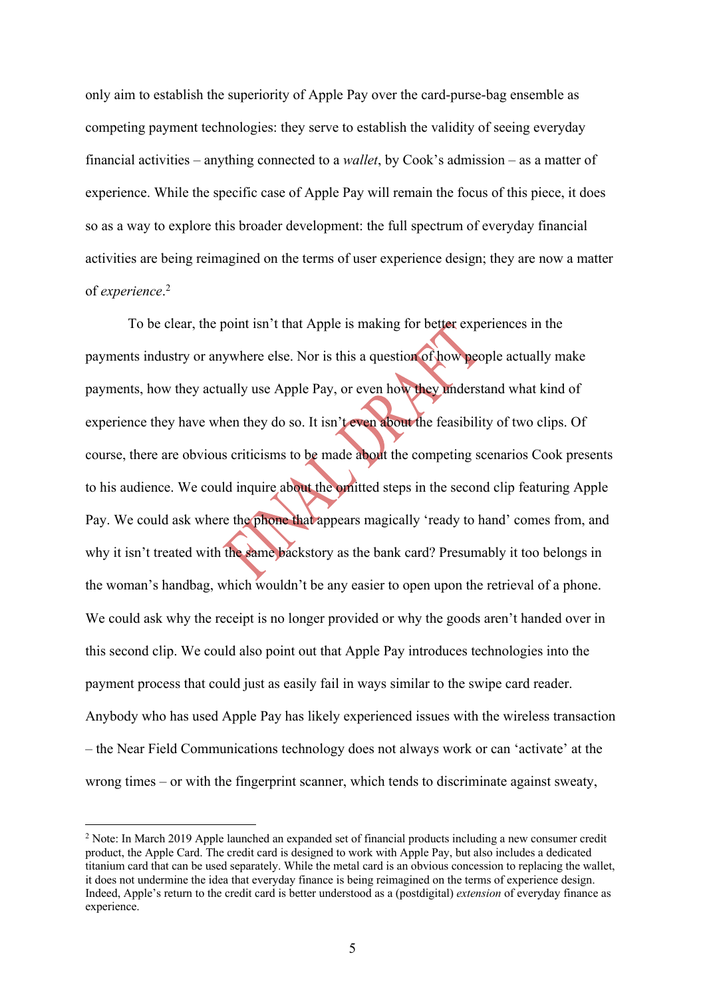only aim to establish the superiority of Apple Pay over the card-purse-bag ensemble as competing payment technologies: they serve to establish the validity of seeing everyday financial activities – anything connected to a *wallet*, by Cook's admission – as a matter of experience. While the specific case of Apple Pay will remain the focus of this piece, it does so as a way to explore this broader development: the full spectrum of everyday financial activities are being reimagined on the terms of user experience design; they are now a matter of *experience*. 2

To be clear, the point isn't that Apple is making for better experiences in the payments industry or anywhere else. Nor is this a question of how people actually make payments, how they actually use Apple Pay, or even how they understand what kind of experience they have when they do so. It isn't even about the feasibility of two clips. Of course, there are obvious criticisms to be made about the competing scenarios Cook presents to his audience. We could inquire about the omitted steps in the second clip featuring Apple Pay. We could ask where the phone that appears magically 'ready to hand' comes from, and why it isn't treated with the same backstory as the bank card? Presumably it too belongs in the woman's handbag, which wouldn't be any easier to open upon the retrieval of a phone. We could ask why the receipt is no longer provided or why the goods aren't handed over in this second clip. We could also point out that Apple Pay introduces technologies into the payment process that could just as easily fail in ways similar to the swipe card reader. Anybody who has used Apple Pay has likely experienced issues with the wireless transaction – the Near Field Communications technology does not always work or can 'activate' at the wrong times – or with the fingerprint scanner, which tends to discriminate against sweaty,

<sup>2</sup> Note: In March 2019 Apple launched an expanded set of financial products including a new consumer credit product, the Apple Card. The credit card is designed to work with Apple Pay, but also includes a dedicated titanium card that can be used separately. While the metal card is an obvious concession to replacing the wallet, it does not undermine the idea that everyday finance is being reimagined on the terms of experience design. Indeed, Apple's return to the credit card is better understood as a (postdigital) *extension* of everyday finance as experience.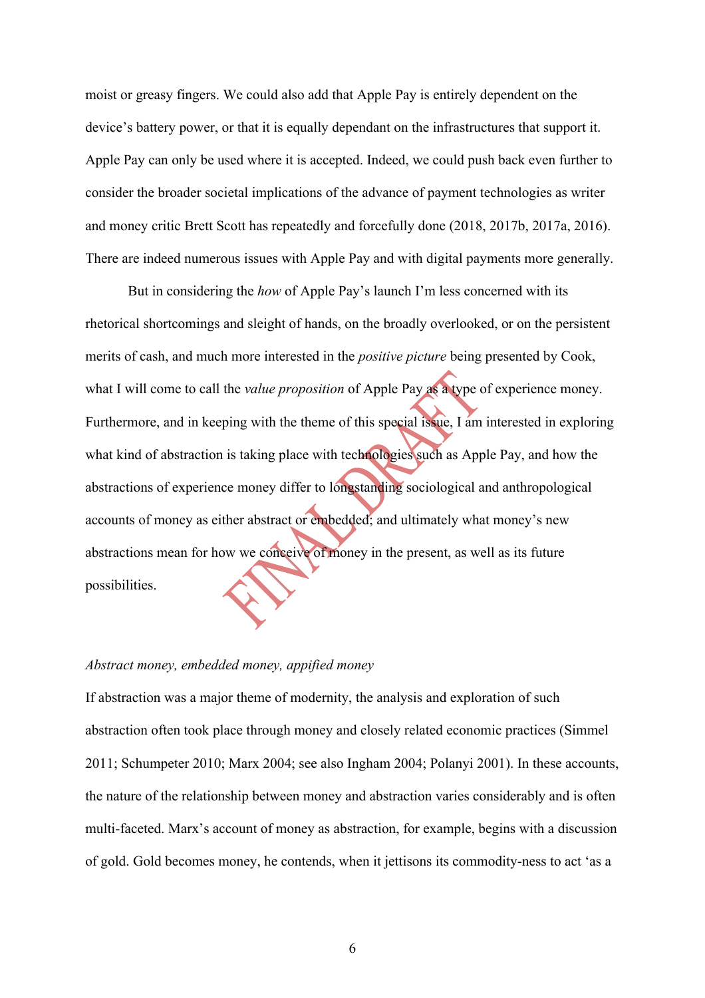moist or greasy fingers. We could also add that Apple Pay is entirely dependent on the device's battery power, or that it is equally dependant on the infrastructures that support it. Apple Pay can only be used where it is accepted. Indeed, we could push back even further to consider the broader societal implications of the advance of payment technologies as writer and money critic Brett Scott has repeatedly and forcefully done (2018, 2017b, 2017a, 2016). There are indeed numerous issues with Apple Pay and with digital payments more generally.

But in considering the *how* of Apple Pay's launch I'm less concerned with its rhetorical shortcomings and sleight of hands, on the broadly overlooked, or on the persistent merits of cash, and much more interested in the *positive picture* being presented by Cook, what I will come to call the *value proposition* of Apple Pay as a type of experience money. Furthermore, and in keeping with the theme of this special issue, I am interested in exploring what kind of abstraction is taking place with technologies such as Apple Pay, and how the abstractions of experience money differ to longstanding sociological and anthropological accounts of money as either abstract or embedded; and ultimately what money's new abstractions mean for how we conceive of money in the present, as well as its future possibilities.

# *Abstract money, embedded money, appified money*

If abstraction was a major theme of modernity, the analysis and exploration of such abstraction often took place through money and closely related economic practices (Simmel 2011; Schumpeter 2010; Marx 2004; see also Ingham 2004; Polanyi 2001). In these accounts, the nature of the relationship between money and abstraction varies considerably and is often multi-faceted. Marx's account of money as abstraction, for example, begins with a discussion of gold. Gold becomes money, he contends, when it jettisons its commodity-ness to act 'as a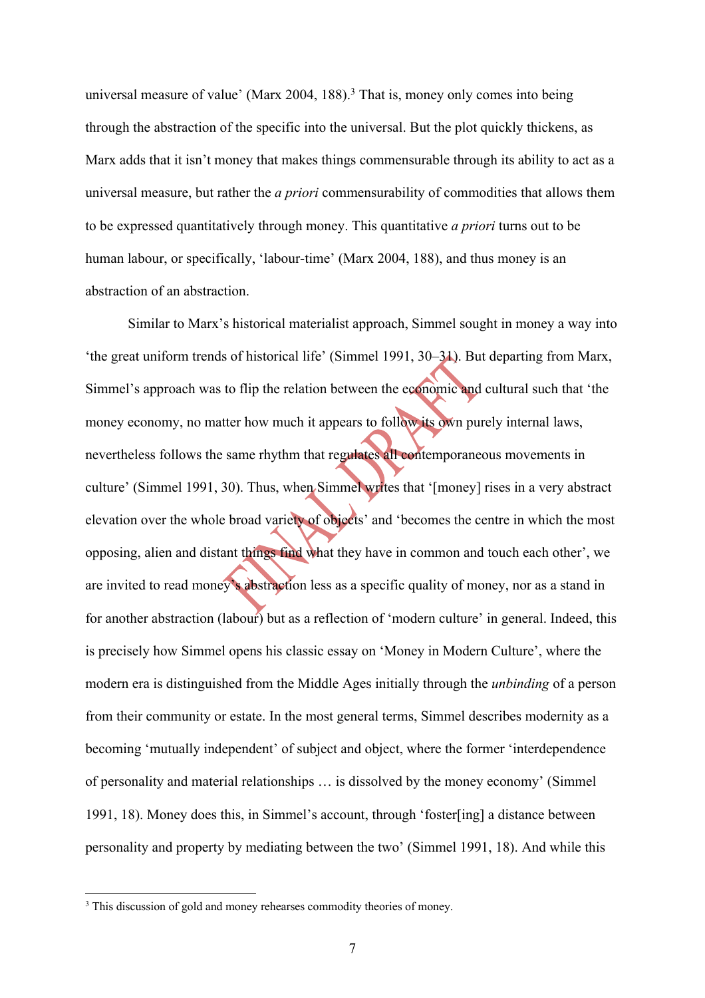universal measure of value' (Marx 2004, 188). <sup>3</sup> That is, money only comes into being through the abstraction of the specific into the universal. But the plot quickly thickens, as Marx adds that it isn't money that makes things commensurable through its ability to act as a universal measure, but rather the *a priori* commensurability of commodities that allows them to be expressed quantitatively through money. This quantitative *a priori* turns out to be human labour, or specifically, 'labour-time' (Marx 2004, 188), and thus money is an abstraction of an abstraction.

Similar to Marx's historical materialist approach, Simmel sought in money a way into 'the great uniform trends of historical life' (Simmel 1991, 30–31). But departing from Marx, Simmel's approach was to flip the relation between the economic and cultural such that 'the money economy, no matter how much it appears to follow its own purely internal laws, nevertheless follows the same rhythm that regulates all contemporaneous movements in culture' (Simmel 1991, 30). Thus, when Simmel writes that '[money] rises in a very abstract elevation over the whole broad variety of objects' and 'becomes the centre in which the most opposing, alien and distant things find what they have in common and touch each other', we are invited to read money's abstraction less as a specific quality of money, nor as a stand in for another abstraction (labour) but as a reflection of 'modern culture' in general. Indeed, this is precisely how Simmel opens his classic essay on 'Money in Modern Culture', where the modern era is distinguished from the Middle Ages initially through the *unbinding* of a person from their community or estate. In the most general terms, Simmel describes modernity as a becoming 'mutually independent' of subject and object, where the former 'interdependence of personality and material relationships … is dissolved by the money economy' (Simmel 1991, 18). Money does this, in Simmel's account, through 'foster[ing] a distance between personality and property by mediating between the two' (Simmel 1991, 18). And while this

<sup>&</sup>lt;sup>3</sup> This discussion of gold and money rehearses commodity theories of money.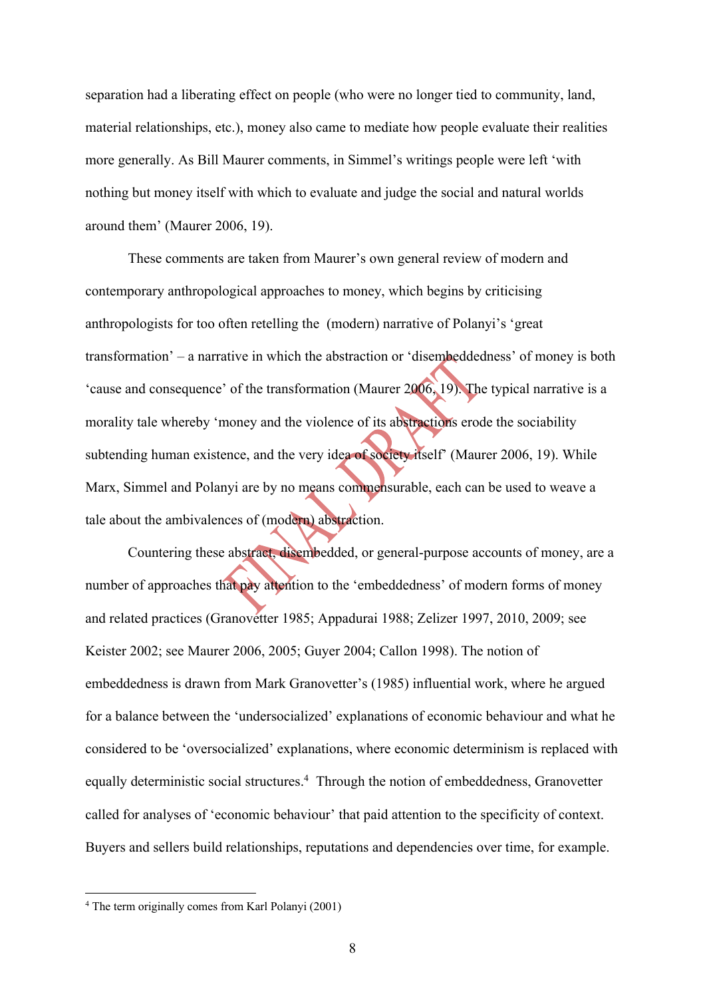separation had a liberating effect on people (who were no longer tied to community, land, material relationships, etc.), money also came to mediate how people evaluate their realities more generally. As Bill Maurer comments, in Simmel's writings people were left 'with nothing but money itself with which to evaluate and judge the social and natural worlds around them' (Maurer 2006, 19).

These comments are taken from Maurer's own general review of modern and contemporary anthropological approaches to money, which begins by criticising anthropologists for too often retelling the (modern) narrative of Polanyi's 'great transformation' – a narrative in which the abstraction or 'disembeddedness' of money is both 'cause and consequence' of the transformation (Maurer 2006, 19). The typical narrative is a morality tale whereby 'money and the violence of its abstractions erode the sociability subtending human existence, and the very idea of society itself' (Maurer 2006, 19). While Marx, Simmel and Polanyi are by no means commensurable, each can be used to weave a tale about the ambivalences of (modern) abstraction.

Countering these abstract, disembedded, or general-purpose accounts of money, are a number of approaches that pay attention to the 'embeddedness' of modern forms of money and related practices (Granovetter 1985; Appadurai 1988; Zelizer 1997, 2010, 2009; see Keister 2002; see Maurer 2006, 2005; Guyer 2004; Callon 1998). The notion of embeddedness is drawn from Mark Granovetter's (1985) influential work, where he argued for a balance between the 'undersocialized' explanations of economic behaviour and what he considered to be 'oversocialized' explanations, where economic determinism is replaced with equally deterministic social structures. <sup>4</sup> Through the notion of embeddedness, Granovetter called for analyses of 'economic behaviour' that paid attention to the specificity of context. Buyers and sellers build relationships, reputations and dependencies over time, for example.

<sup>4</sup> The term originally comes from Karl Polanyi (2001)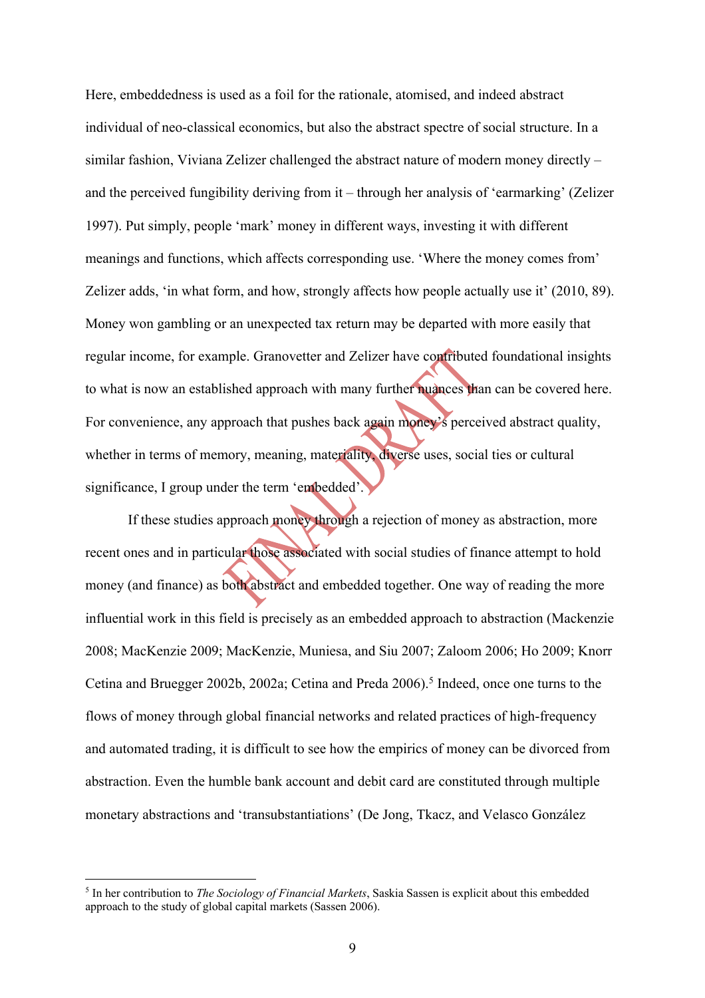Here, embeddedness is used as a foil for the rationale, atomised, and indeed abstract individual of neo-classical economics, but also the abstract spectre of social structure. In a similar fashion, Viviana Zelizer challenged the abstract nature of modern money directly – and the perceived fungibility deriving from it – through her analysis of 'earmarking' (Zelizer 1997). Put simply, people 'mark' money in different ways, investing it with different meanings and functions, which affects corresponding use. 'Where the money comes from' Zelizer adds, 'in what form, and how, strongly affects how people actually use it' (2010, 89). Money won gambling or an unexpected tax return may be departed with more easily that regular income, for example. Granovetter and Zelizer have contributed foundational insights to what is now an established approach with many further nuances than can be covered here. For convenience, any approach that pushes back again money's perceived abstract quality, whether in terms of memory, meaning, materiality, diverse uses, social ties or cultural significance, I group under the term 'embedded'.

If these studies approach money through a rejection of money as abstraction, more recent ones and in particular those associated with social studies of finance attempt to hold money (and finance) as both abstract and embedded together. One way of reading the more influential work in this field is precisely as an embedded approach to abstraction (Mackenzie 2008; MacKenzie 2009; MacKenzie, Muniesa, and Siu 2007; Zaloom 2006; Ho 2009; Knorr Cetina and Bruegger 2002b, 2002a; Cetina and Preda 2006). <sup>5</sup> Indeed, once one turns to the flows of money through global financial networks and related practices of high-frequency and automated trading, it is difficult to see how the empirics of money can be divorced from abstraction. Even the humble bank account and debit card are constituted through multiple monetary abstractions and 'transubstantiations' (De Jong, Tkacz, and Velasco González

<sup>5</sup> In her contribution to *The Sociology of Financial Markets*, Saskia Sassen is explicit about this embedded approach to the study of global capital markets (Sassen 2006).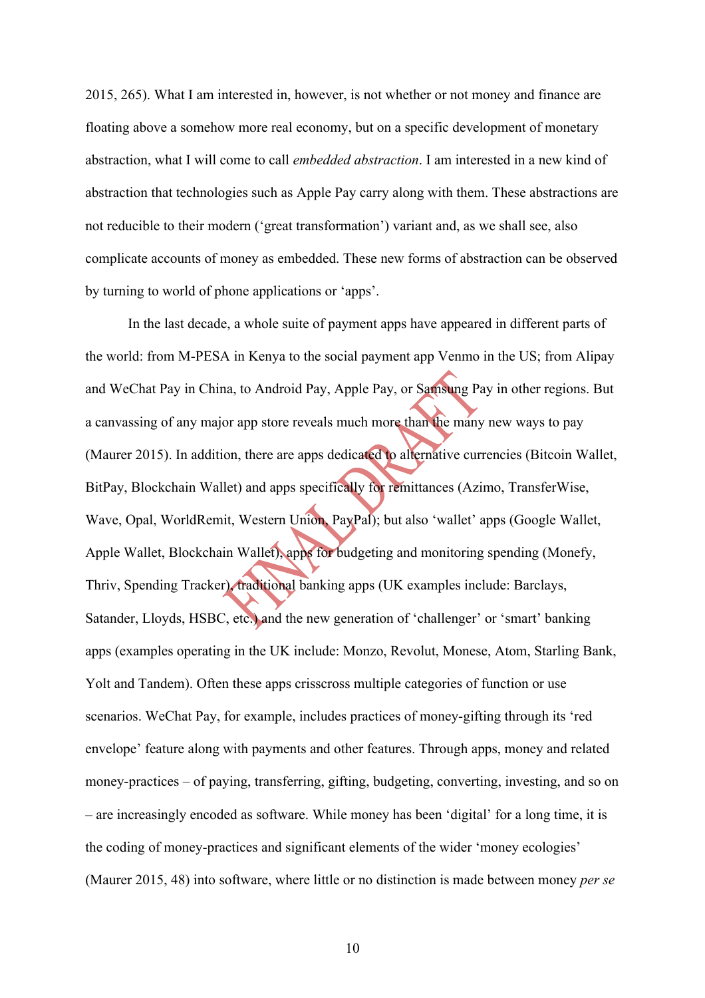2015, 265). What I am interested in, however, is not whether or not money and finance are floating above a somehow more real economy, but on a specific development of monetary abstraction, what I will come to call *embedded abstraction*. I am interested in a new kind of abstraction that technologies such as Apple Pay carry along with them. These abstractions are not reducible to their modern ('great transformation') variant and, as we shall see, also complicate accounts of money as embedded. These new forms of abstraction can be observed by turning to world of phone applications or 'apps'.

In the last decade, a whole suite of payment apps have appeared in different parts of the world: from M-PESA in Kenya to the social payment app Venmo in the US; from Alipay and WeChat Pay in China, to Android Pay, Apple Pay, or Samsung Pay in other regions. But a canvassing of any major app store reveals much more than the many new ways to pay (Maurer 2015). In addition, there are apps dedicated to alternative currencies (Bitcoin Wallet, BitPay, Blockchain Wallet) and apps specifically for remittances (Azimo, TransferWise, Wave, Opal, WorldRemit, Western Union, PayPal); but also 'wallet' apps (Google Wallet, Apple Wallet, Blockchain Wallet), apps for budgeting and monitoring spending (Monefy, Thriv, Spending Tracker), traditional banking apps (UK examples include: Barclays, Satander, Lloyds, HSBC, etc.) and the new generation of 'challenger' or 'smart' banking apps (examples operating in the UK include: Monzo, Revolut, Monese, Atom, Starling Bank, Yolt and Tandem). Often these apps crisscross multiple categories of function or use scenarios. WeChat Pay, for example, includes practices of money-gifting through its 'red envelope' feature along with payments and other features. Through apps, money and related money-practices – of paying, transferring, gifting, budgeting, converting, investing, and so on – are increasingly encoded as software. While money has been 'digital' for a long time, it is the coding of money-practices and significant elements of the wider 'money ecologies' (Maurer 2015, 48) into software, where little or no distinction is made between money *per se*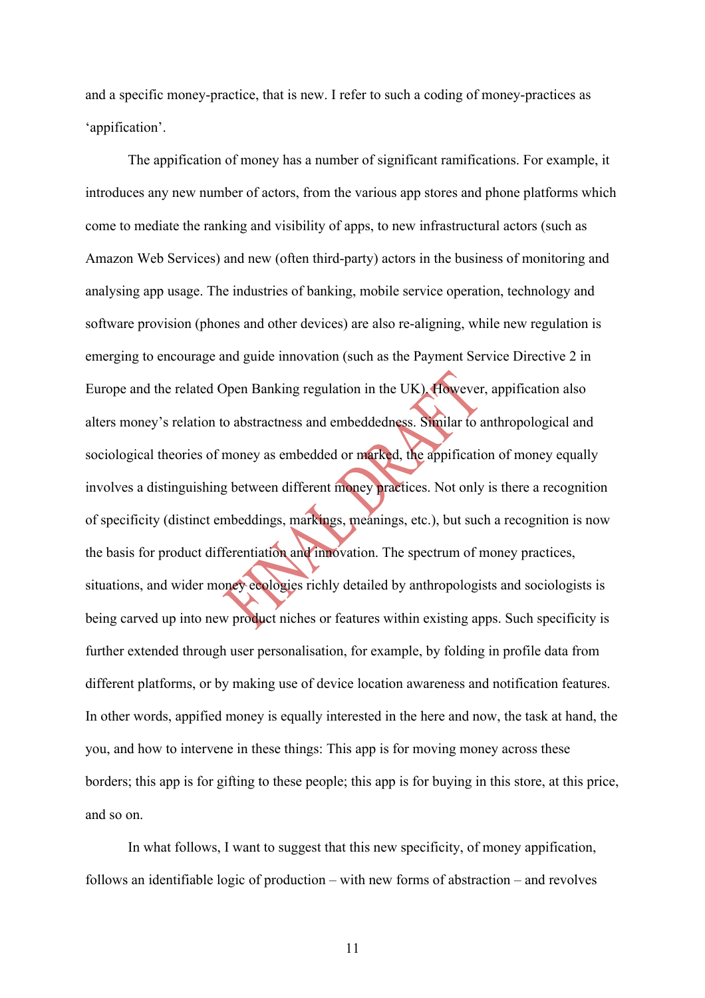and a specific money-practice, that is new. I refer to such a coding of money-practices as 'appification'.

The appification of money has a number of significant ramifications. For example, it introduces any new number of actors, from the various app stores and phone platforms which come to mediate the ranking and visibility of apps, to new infrastructural actors (such as Amazon Web Services) and new (often third-party) actors in the business of monitoring and analysing app usage. The industries of banking, mobile service operation, technology and software provision (phones and other devices) are also re-aligning, while new regulation is emerging to encourage and guide innovation (such as the Payment Service Directive 2 in Europe and the related Open Banking regulation in the UK). However, appification also alters money's relation to abstractness and embeddedness. Similar to anthropological and sociological theories of money as embedded or marked, the appification of money equally involves a distinguishing between different money practices. Not only is there a recognition of specificity (distinct embeddings, markings, meanings, etc.), but such a recognition is now the basis for product differentiation and innovation. The spectrum of money practices, situations, and wider money ecologies richly detailed by anthropologists and sociologists is being carved up into new product niches or features within existing apps. Such specificity is further extended through user personalisation, for example, by folding in profile data from different platforms, or by making use of device location awareness and notification features. In other words, appified money is equally interested in the here and now, the task at hand, the you, and how to intervene in these things: This app is for moving money across these borders; this app is for gifting to these people; this app is for buying in this store, at this price, and so on.

In what follows, I want to suggest that this new specificity, of money appification, follows an identifiable logic of production – with new forms of abstraction – and revolves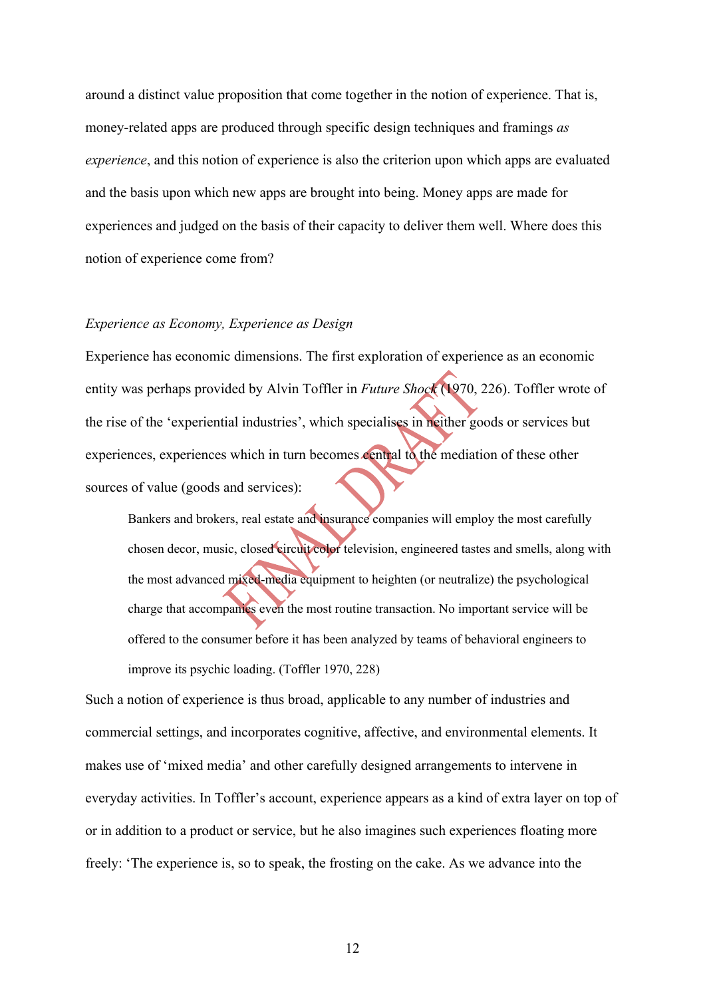around a distinct value proposition that come together in the notion of experience. That is, money-related apps are produced through specific design techniques and framings *as experience*, and this notion of experience is also the criterion upon which apps are evaluated and the basis upon which new apps are brought into being. Money apps are made for experiences and judged on the basis of their capacity to deliver them well. Where does this notion of experience come from?

### *Experience as Economy, Experience as Design*

Experience has economic dimensions. The first exploration of experience as an economic entity was perhaps provided by Alvin Toffler in *Future Shock* (1970, 226). Toffler wrote of the rise of the 'experiential industries', which specialises in neither goods or services but experiences, experiences which in turn becomes central to the mediation of these other sources of value (goods and services):

Bankers and brokers, real estate and insurance companies will employ the most carefully chosen decor, music, closed circuit color television, engineered tastes and smells, along with the most advanced mixed-media equipment to heighten (or neutralize) the psychological charge that accompanies even the most routine transaction. No important service will be offered to the consumer before it has been analyzed by teams of behavioral engineers to improve its psychic loading. (Toffler 1970, 228)

Such a notion of experience is thus broad, applicable to any number of industries and commercial settings, and incorporates cognitive, affective, and environmental elements. It makes use of 'mixed media' and other carefully designed arrangements to intervene in everyday activities. In Toffler's account, experience appears as a kind of extra layer on top of or in addition to a product or service, but he also imagines such experiences floating more freely: 'The experience is, so to speak, the frosting on the cake. As we advance into the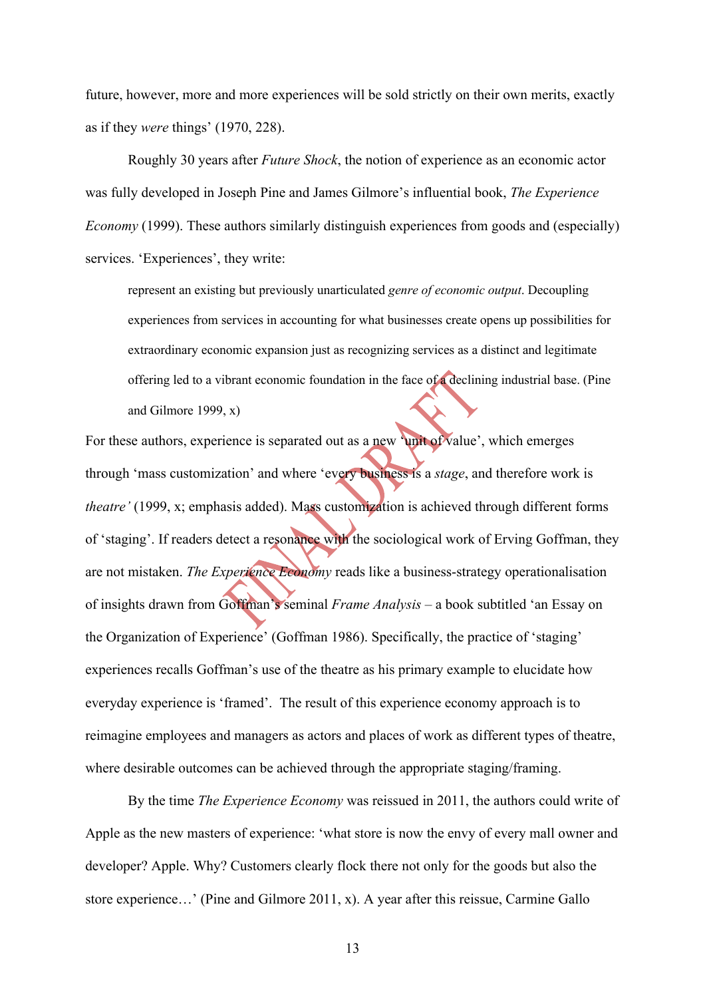future, however, more and more experiences will be sold strictly on their own merits, exactly as if they *were* things' (1970, 228).

Roughly 30 years after *Future Shock*, the notion of experience as an economic actor was fully developed in Joseph Pine and James Gilmore's influential book, *The Experience Economy* (1999). These authors similarly distinguish experiences from goods and (especially) services. 'Experiences', they write:

represent an existing but previously unarticulated *genre of economic output*. Decoupling experiences from services in accounting for what businesses create opens up possibilities for extraordinary economic expansion just as recognizing services as a distinct and legitimate offering led to a vibrant economic foundation in the face of a declining industrial base. (Pine and Gilmore 1999, x)

For these authors, experience is separated out as a new 'unit of value', which emerges through 'mass customization' and where 'every business is a *stage*, and therefore work is *theatre'* (1999, x; emphasis added). Mass customization is achieved through different forms of 'staging'. If readers detect a resonance with the sociological work of Erving Goffman, they are not mistaken. *The Experience Economy* reads like a business-strategy operationalisation of insights drawn from Goffman's seminal *Frame Analysis* – a book subtitled 'an Essay on the Organization of Experience' (Goffman 1986). Specifically, the practice of 'staging' experiences recalls Goffman's use of the theatre as his primary example to elucidate how everyday experience is 'framed'. The result of this experience economy approach is to reimagine employees and managers as actors and places of work as different types of theatre, where desirable outcomes can be achieved through the appropriate staging/framing.

By the time *The Experience Economy* was reissued in 2011, the authors could write of Apple as the new masters of experience: 'what store is now the envy of every mall owner and developer? Apple. Why? Customers clearly flock there not only for the goods but also the store experience…' (Pine and Gilmore 2011, x). A year after this reissue, Carmine Gallo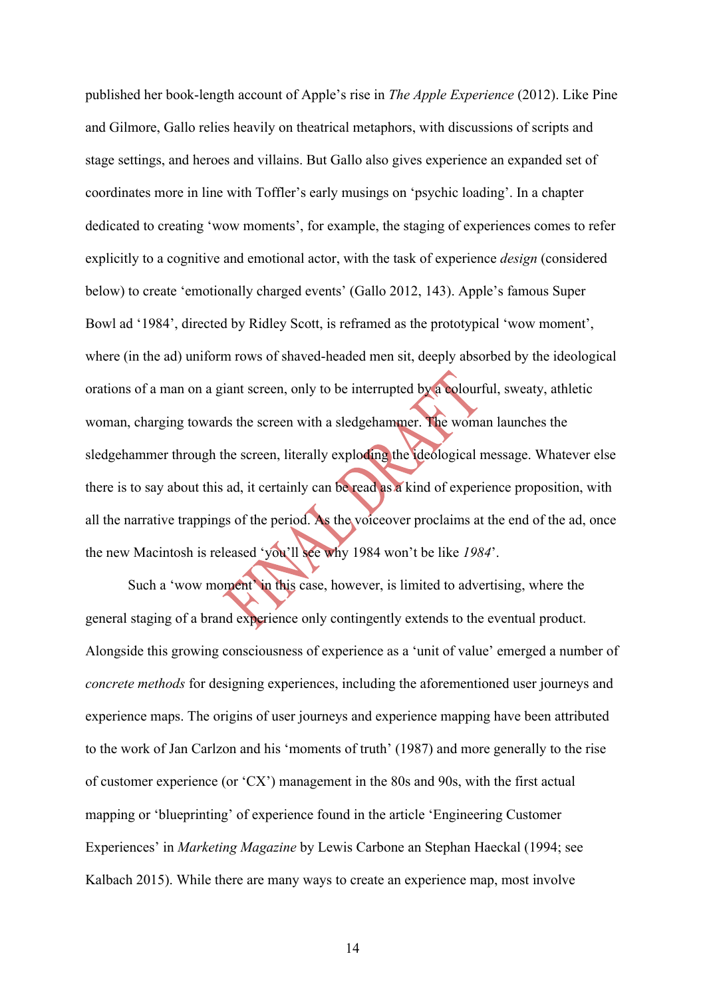published her book-length account of Apple's rise in *The Apple Experience* (2012). Like Pine and Gilmore, Gallo relies heavily on theatrical metaphors, with discussions of scripts and stage settings, and heroes and villains. But Gallo also gives experience an expanded set of coordinates more in line with Toffler's early musings on 'psychic loading'. In a chapter dedicated to creating 'wow moments', for example, the staging of experiences comes to refer explicitly to a cognitive and emotional actor, with the task of experience *design* (considered below) to create 'emotionally charged events' (Gallo 2012, 143). Apple's famous Super Bowl ad '1984', directed by Ridley Scott, is reframed as the prototypical 'wow moment', where (in the ad) uniform rows of shaved-headed men sit, deeply absorbed by the ideological orations of a man on a giant screen, only to be interrupted by a colourful, sweaty, athletic woman, charging towards the screen with a sledgehammer. The woman launches the sledgehammer through the screen, literally exploding the ideological message. Whatever else there is to say about this ad, it certainly can be read as a kind of experience proposition, with all the narrative trappings of the period. As the voiceover proclaims at the end of the ad, once the new Macintosh is released 'you'll see why 1984 won't be like *1984*'.

Such a 'wow moment' in this case, however, is limited to advertising, where the general staging of a brand experience only contingently extends to the eventual product. Alongside this growing consciousness of experience as a 'unit of value' emerged a number of *concrete methods* for designing experiences, including the aforementioned user journeys and experience maps. The origins of user journeys and experience mapping have been attributed to the work of Jan Carlzon and his 'moments of truth' (1987) and more generally to the rise of customer experience (or 'CX') management in the 80s and 90s, with the first actual mapping or 'blueprinting' of experience found in the article 'Engineering Customer Experiences' in *Marketing Magazine* by Lewis Carbone an Stephan Haeckal (1994; see Kalbach 2015). While there are many ways to create an experience map, most involve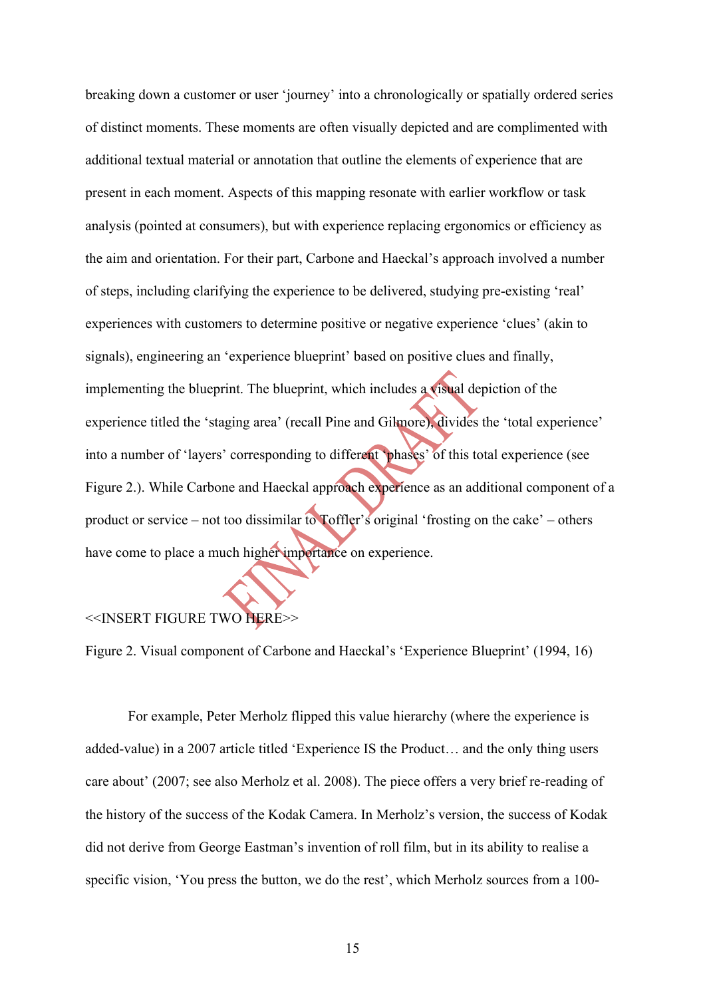breaking down a customer or user 'journey' into a chronologically or spatially ordered series of distinct moments. These moments are often visually depicted and are complimented with additional textual material or annotation that outline the elements of experience that are present in each moment. Aspects of this mapping resonate with earlier workflow or task analysis (pointed at consumers), but with experience replacing ergonomics or efficiency as the aim and orientation. For their part, Carbone and Haeckal's approach involved a number of steps, including clarifying the experience to be delivered, studying pre-existing 'real' experiences with customers to determine positive or negative experience 'clues' (akin to signals), engineering an 'experience blueprint' based on positive clues and finally, implementing the blueprint. The blueprint, which includes a visual depiction of the experience titled the 'staging area' (recall Pine and Gilmore), divides the 'total experience' into a number of 'layers' corresponding to different 'phases' of this total experience (see Figure 2.). While Carbone and Haeckal approach experience as an additional component of a product or service – not too dissimilar to Toffler's original 'frosting on the cake' – others have come to place a much higher importance on experience.

# <<INSERT FIGURE TWO HERE>>

Figure 2. Visual component of Carbone and Haeckal's 'Experience Blueprint' (1994, 16)

For example, Peter Merholz flipped this value hierarchy (where the experience is added-value) in a 2007 article titled 'Experience IS the Product… and the only thing users care about' (2007; see also Merholz et al. 2008). The piece offers a very brief re-reading of the history of the success of the Kodak Camera. In Merholz's version, the success of Kodak did not derive from George Eastman's invention of roll film, but in its ability to realise a specific vision, 'You press the button, we do the rest', which Merholz sources from a 100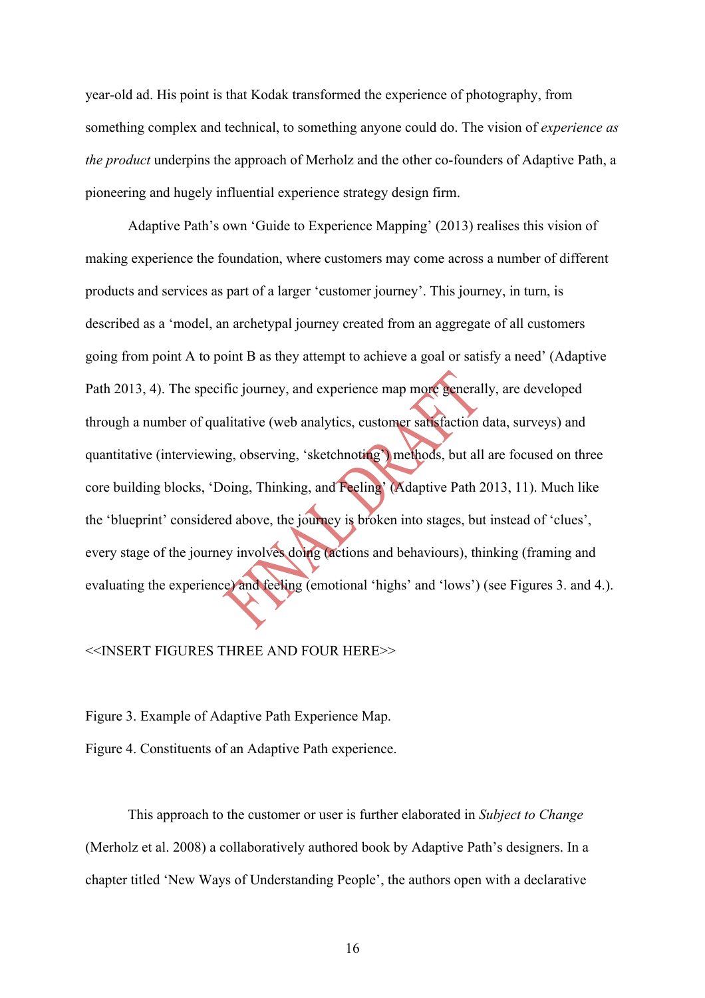year-old ad. His point is that Kodak transformed the experience of photography, from something complex and technical, to something anyone could do. The vision of *experience as the product* underpins the approach of Merholz and the other co-founders of Adaptive Path, a pioneering and hugely influential experience strategy design firm.

Adaptive Path's own 'Guide to Experience Mapping' (2013) realises this vision of making experience the foundation, where customers may come across a number of different products and services as part of a larger 'customer journey'. This journey, in turn, is described as a 'model, an archetypal journey created from an aggregate of all customers going from point A to point B as they attempt to achieve a goal or satisfy a need' (Adaptive Path 2013, 4). The specific journey, and experience map more generally, are developed through a number of qualitative (web analytics, customer satisfaction data, surveys) and quantitative (interviewing, observing, 'sketchnoting') methods, but all are focused on three core building blocks, 'Doing, Thinking, and Feeling' (Adaptive Path 2013, 11). Much like the 'blueprint' considered above, the journey is broken into stages, but instead of 'clues', every stage of the journey involves doing (actions and behaviours), thinking (framing and evaluating the experience) and feeling (emotional 'highs' and 'lows') (see Figures 3. and 4.).

### <<INSERT FIGURES THREE AND FOUR HERE>>

Figure 3. Example of Adaptive Path Experience Map.

Figure 4. Constituents of an Adaptive Path experience.

This approach to the customer or user is further elaborated in *Subject to Change* (Merholz et al. 2008) a collaboratively authored book by Adaptive Path's designers. In a chapter titled 'New Ways of Understanding People', the authors open with a declarative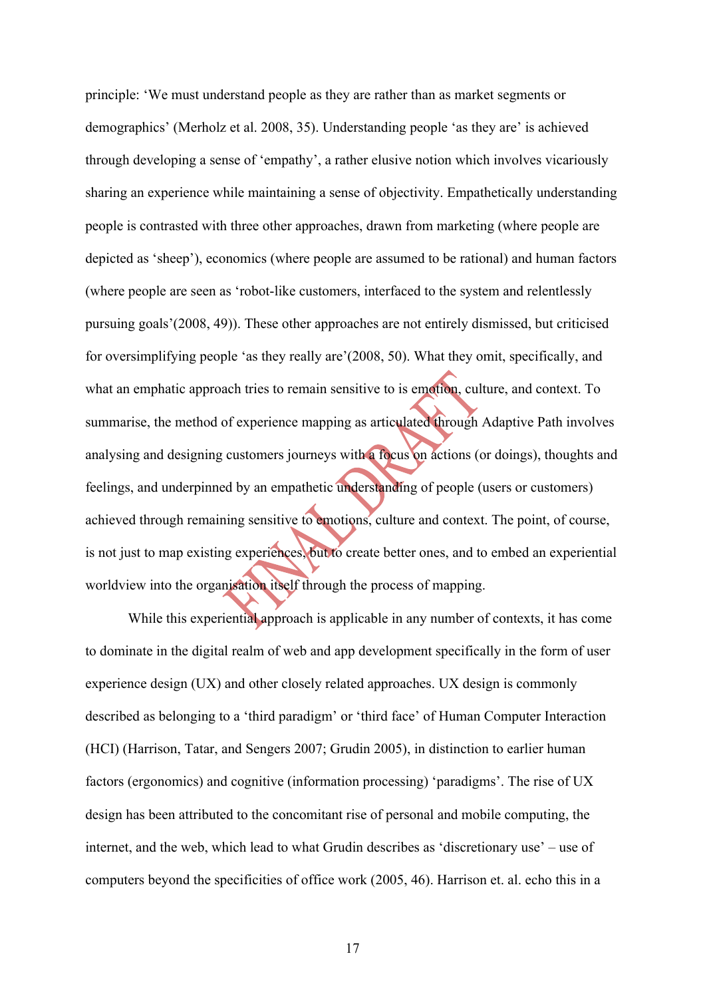principle: 'We must understand people as they are rather than as market segments or demographics' (Merholz et al. 2008, 35). Understanding people 'as they are' is achieved through developing a sense of 'empathy', a rather elusive notion which involves vicariously sharing an experience while maintaining a sense of objectivity. Empathetically understanding people is contrasted with three other approaches, drawn from marketing (where people are depicted as 'sheep'), economics (where people are assumed to be rational) and human factors (where people are seen as 'robot-like customers, interfaced to the system and relentlessly pursuing goals'(2008, 49)). These other approaches are not entirely dismissed, but criticised for oversimplifying people 'as they really are'(2008, 50). What they omit, specifically, and what an emphatic approach tries to remain sensitive to is emotion, culture, and context. To summarise, the method of experience mapping as articulated through Adaptive Path involves analysing and designing customers journeys with a focus on actions (or doings), thoughts and feelings, and underpinned by an empathetic understanding of people (users or customers) achieved through remaining sensitive to emotions, culture and context. The point, of course, is not just to map existing experiences, but to create better ones, and to embed an experiential worldview into the organisation itself through the process of mapping.

While this experiential approach is applicable in any number of contexts, it has come to dominate in the digital realm of web and app development specifically in the form of user experience design (UX) and other closely related approaches. UX design is commonly described as belonging to a 'third paradigm' or 'third face' of Human Computer Interaction (HCI) (Harrison, Tatar, and Sengers 2007; Grudin 2005), in distinction to earlier human factors (ergonomics) and cognitive (information processing) 'paradigms'. The rise of UX design has been attributed to the concomitant rise of personal and mobile computing, the internet, and the web, which lead to what Grudin describes as 'discretionary use' – use of computers beyond the specificities of office work (2005, 46). Harrison et. al. echo this in a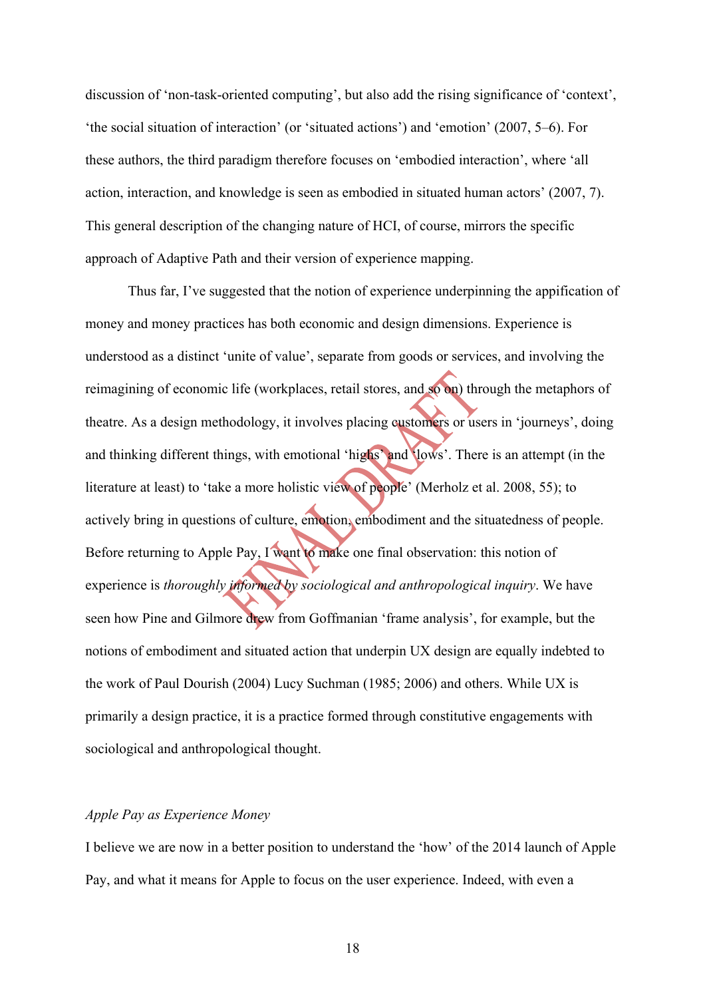discussion of 'non-task-oriented computing', but also add the rising significance of 'context', 'the social situation of interaction' (or 'situated actions') and 'emotion' (2007, 5–6). For these authors, the third paradigm therefore focuses on 'embodied interaction', where 'all action, interaction, and knowledge is seen as embodied in situated human actors' (2007, 7). This general description of the changing nature of HCI, of course, mirrors the specific approach of Adaptive Path and their version of experience mapping.

Thus far, I've suggested that the notion of experience underpinning the appification of money and money practices has both economic and design dimensions. Experience is understood as a distinct 'unite of value', separate from goods or services, and involving the reimagining of economic life (workplaces, retail stores, and so on) through the metaphors of theatre. As a design methodology, it involves placing customers or users in 'journeys', doing and thinking different things, with emotional 'highs' and 'lows'. There is an attempt (in the literature at least) to 'take a more holistic view of people' (Merholz et al. 2008, 55); to actively bring in questions of culture, emotion, embodiment and the situatedness of people. Before returning to Apple Pay, I want to make one final observation: this notion of experience is *thoroughly informed by sociological and anthropological inquiry*. We have seen how Pine and Gilmore drew from Goffmanian 'frame analysis', for example, but the notions of embodiment and situated action that underpin UX design are equally indebted to the work of Paul Dourish (2004) Lucy Suchman (1985; 2006) and others. While UX is primarily a design practice, it is a practice formed through constitutive engagements with sociological and anthropological thought.

# *Apple Pay as Experience Money*

I believe we are now in a better position to understand the 'how' of the 2014 launch of Apple Pay, and what it means for Apple to focus on the user experience. Indeed, with even a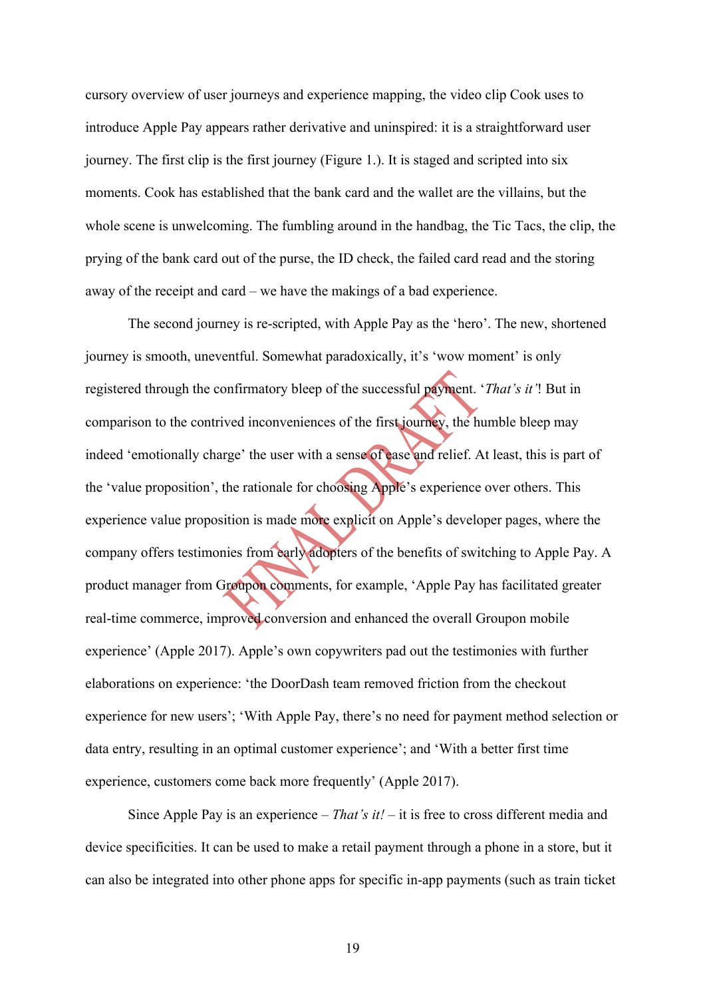cursory overview of user journeys and experience mapping, the video clip Cook uses to introduce Apple Pay appears rather derivative and uninspired: it is a straightforward user journey. The first clip is the first journey (Figure 1.). It is staged and scripted into six moments. Cook has established that the bank card and the wallet are the villains, but the whole scene is unwelcoming. The fumbling around in the handbag, the Tic Tacs, the clip, the prying of the bank card out of the purse, the ID check, the failed card read and the storing away of the receipt and card – we have the makings of a bad experience.

The second journey is re-scripted, with Apple Pay as the 'hero'. The new, shortened journey is smooth, uneventful. Somewhat paradoxically, it's 'wow moment' is only registered through the confirmatory bleep of the successful payment. '*That's it'*! But in comparison to the contrived inconveniences of the first journey, the humble bleep may indeed 'emotionally charge' the user with a sense of ease and relief. At least, this is part of the 'value proposition', the rationale for choosing Apple's experience over others. This experience value proposition is made more explicit on Apple's developer pages, where the company offers testimonies from early adopters of the benefits of switching to Apple Pay. A product manager from Groupon comments, for example, 'Apple Pay has facilitated greater real-time commerce, improved conversion and enhanced the overall Groupon mobile experience' (Apple 2017). Apple's own copywriters pad out the testimonies with further elaborations on experience: 'the DoorDash team removed friction from the checkout experience for new users'; 'With Apple Pay, there's no need for payment method selection or data entry, resulting in an optimal customer experience'; and 'With a better first time experience, customers come back more frequently' (Apple 2017).

Since Apple Pay is an experience – *That's it!* – it is free to cross different media and device specificities. It can be used to make a retail payment through a phone in a store, but it can also be integrated into other phone apps for specific in-app payments (such as train ticket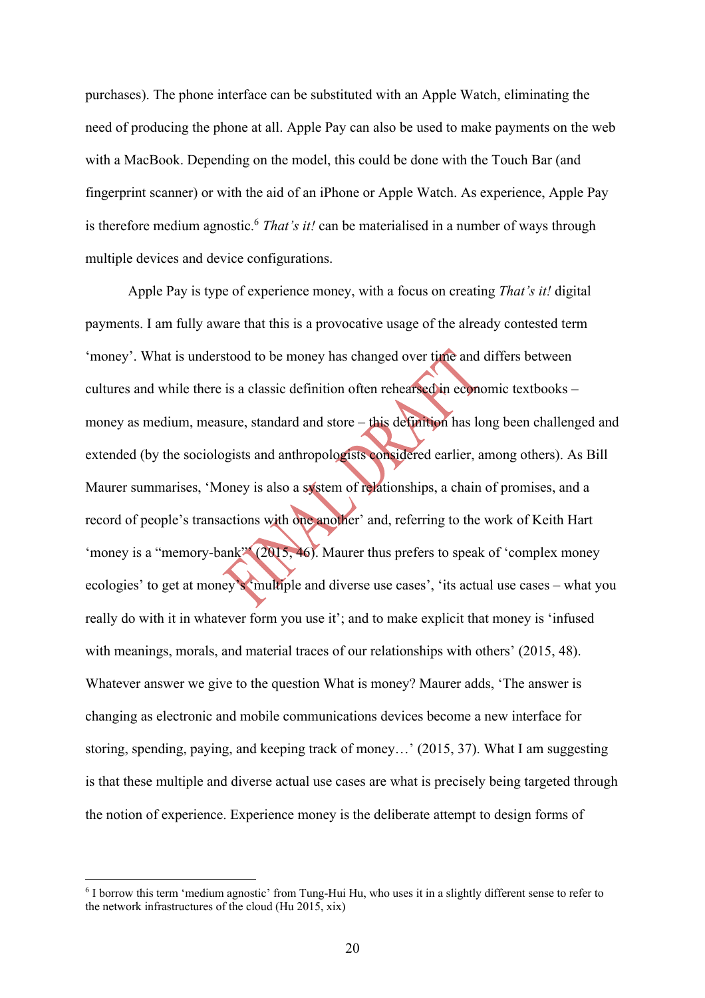purchases). The phone interface can be substituted with an Apple Watch, eliminating the need of producing the phone at all. Apple Pay can also be used to make payments on the web with a MacBook. Depending on the model, this could be done with the Touch Bar (and fingerprint scanner) or with the aid of an iPhone or Apple Watch. As experience, Apple Pay is therefore medium agnostic.<sup>6</sup> *That's it!* can be materialised in a number of ways through multiple devices and device configurations.

Apple Pay is type of experience money, with a focus on creating *That's it!* digital payments. I am fully aware that this is a provocative usage of the already contested term 'money'. What is understood to be money has changed over time and differs between cultures and while there is a classic definition often rehearsed in economic textbooks – money as medium, measure, standard and store – this definition has long been challenged and extended (by the sociologists and anthropologists considered earlier, among others). As Bill Maurer summarises, 'Money is also a system of relationships, a chain of promises, and a record of people's transactions with one another' and, referring to the work of Keith Hart 'money is a "memory-bank"' (2015, 46). Maurer thus prefers to speak of 'complex money ecologies' to get at money's 'multiple and diverse use cases', 'its actual use cases – what you really do with it in whatever form you use it'; and to make explicit that money is 'infused with meanings, morals, and material traces of our relationships with others' (2015, 48). Whatever answer we give to the question What is money? Maurer adds, 'The answer is changing as electronic and mobile communications devices become a new interface for storing, spending, paying, and keeping track of money…' (2015, 37). What I am suggesting is that these multiple and diverse actual use cases are what is precisely being targeted through the notion of experience. Experience money is the deliberate attempt to design forms of

<sup>6</sup> I borrow this term 'medium agnostic' from Tung-Hui Hu, who uses it in a slightly different sense to refer to the network infrastructures of the cloud (Hu 2015, xix)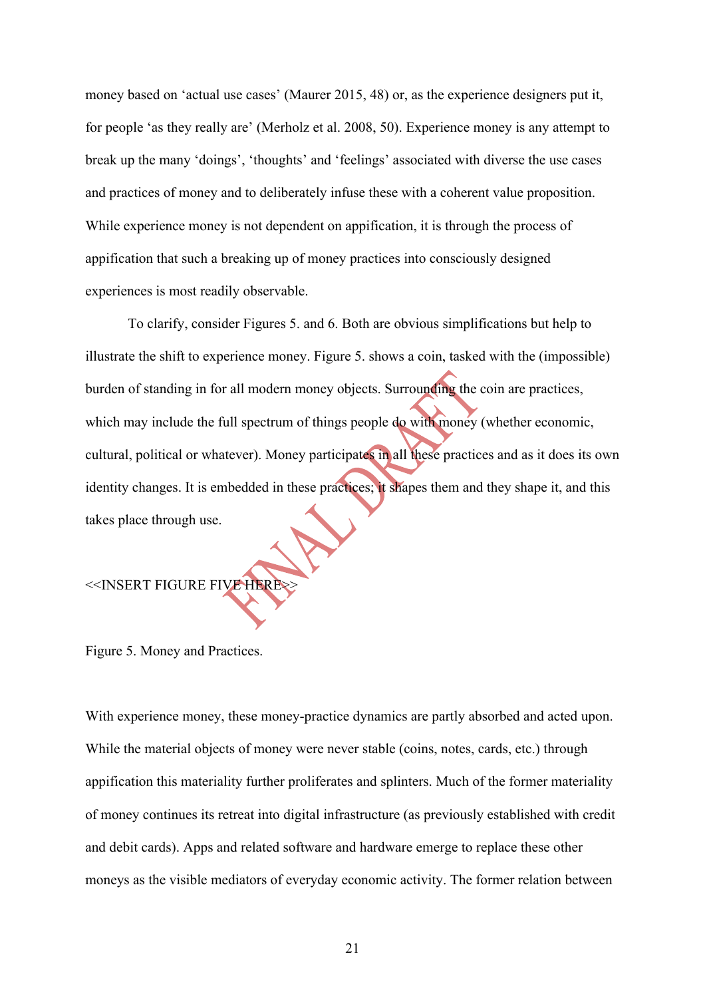money based on 'actual use cases' (Maurer 2015, 48) or, as the experience designers put it, for people 'as they really are' (Merholz et al. 2008, 50). Experience money is any attempt to break up the many 'doings', 'thoughts' and 'feelings' associated with diverse the use cases and practices of money and to deliberately infuse these with a coherent value proposition. While experience money is not dependent on appification, it is through the process of appification that such a breaking up of money practices into consciously designed experiences is most readily observable.

To clarify, consider Figures 5. and 6. Both are obvious simplifications but help to illustrate the shift to experience money. Figure 5. shows a coin, tasked with the (impossible) burden of standing in for all modern money objects. Surrounding the coin are practices, which may include the full spectrum of things people do with money (whether economic, cultural, political or whatever). Money participates in all these practices and as it does its own identity changes. It is embedded in these practices; it shapes them and they shape it, and this takes place through use.

<<INSERT FIGURE FIVE HERE>>

Figure 5. Money and Practices.

With experience money, these money-practice dynamics are partly absorbed and acted upon. While the material objects of money were never stable (coins, notes, cards, etc.) through appification this materiality further proliferates and splinters. Much of the former materiality of money continues its retreat into digital infrastructure (as previously established with credit and debit cards). Apps and related software and hardware emerge to replace these other moneys as the visible mediators of everyday economic activity. The former relation between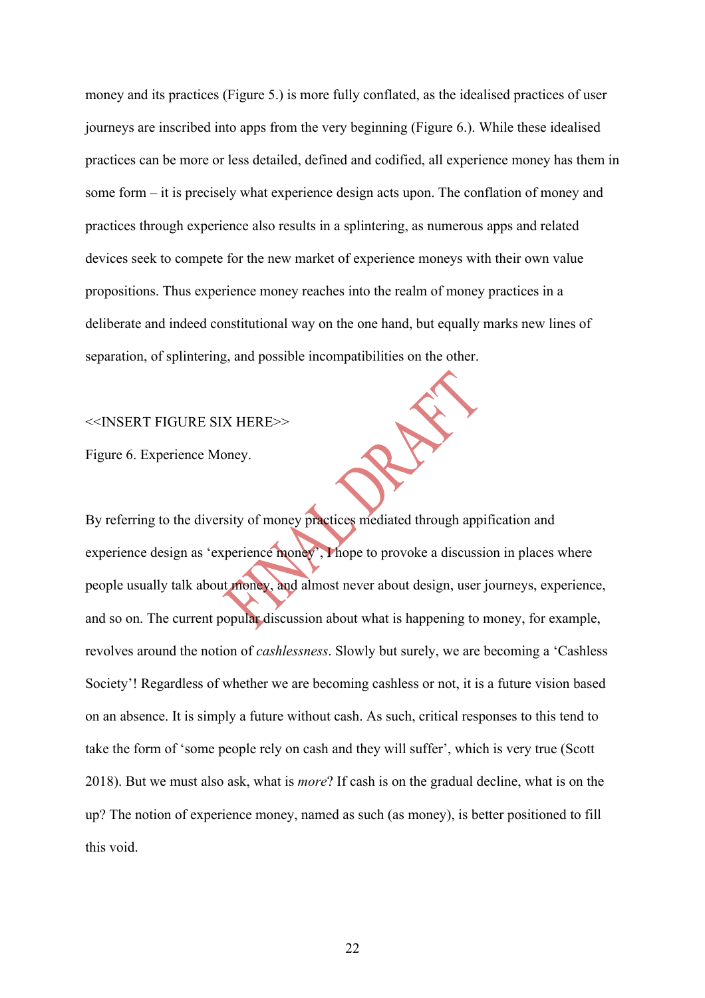money and its practices (Figure 5.) is more fully conflated, as the idealised practices of user journeys are inscribed into apps from the very beginning (Figure 6.). While these idealised practices can be more or less detailed, defined and codified, all experience money has them in some form – it is precisely what experience design acts upon. The conflation of money and practices through experience also results in a splintering, as numerous apps and related devices seek to compete for the new market of experience moneys with their own value propositions. Thus experience money reaches into the realm of money practices in a deliberate and indeed constitutional way on the one hand, but equally marks new lines of separation, of splintering, and possible incompatibilities on the other.

# <<INSERT FIGURE SIX HERE>>

Figure 6. Experience Money.

By referring to the diversity of money practices mediated through appification and experience design as 'experience money', I hope to provoke a discussion in places where people usually talk about money, and almost never about design, user journeys, experience, and so on. The current popular discussion about what is happening to money, for example, revolves around the notion of *cashlessness*. Slowly but surely, we are becoming a 'Cashless Society'! Regardless of whether we are becoming cashless or not, it is a future vision based on an absence. It is simply a future without cash. As such, critical responses to this tend to take the form of 'some people rely on cash and they will suffer', which is very true (Scott 2018). But we must also ask, what is *more*? If cash is on the gradual decline, what is on the up? The notion of experience money, named as such (as money), is better positioned to fill this void.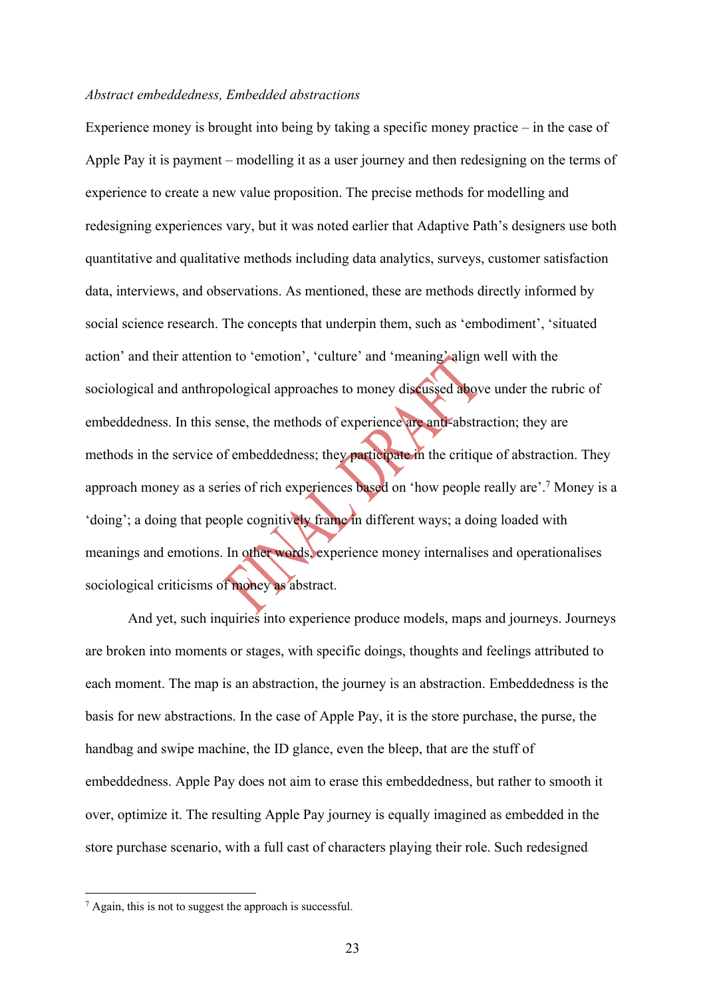### *Abstract embeddedness, Embedded abstractions*

Experience money is brought into being by taking a specific money practice – in the case of Apple Pay it is payment – modelling it as a user journey and then redesigning on the terms of experience to create a new value proposition. The precise methods for modelling and redesigning experiences vary, but it was noted earlier that Adaptive Path's designers use both quantitative and qualitative methods including data analytics, surveys, customer satisfaction data, interviews, and observations. As mentioned, these are methods directly informed by social science research. The concepts that underpin them, such as 'embodiment', 'situated action' and their attention to 'emotion', 'culture' and 'meaning' align well with the sociological and anthropological approaches to money discussed above under the rubric of embeddedness. In this sense, the methods of experience are anti-abstraction; they are methods in the service of embeddedness; they participate in the critique of abstraction. They approach money as a series of rich experiences based on 'how people really are'.<sup>7</sup> Money is a 'doing'; a doing that people cognitively frame in different ways; a doing loaded with meanings and emotions. In other words, experience money internalises and operationalises sociological criticisms of money as abstract.

And yet, such inquiries into experience produce models, maps and journeys. Journeys are broken into moments or stages, with specific doings, thoughts and feelings attributed to each moment. The map is an abstraction, the journey is an abstraction. Embeddedness is the basis for new abstractions. In the case of Apple Pay, it is the store purchase, the purse, the handbag and swipe machine, the ID glance, even the bleep, that are the stuff of embeddedness. Apple Pay does not aim to erase this embeddedness, but rather to smooth it over, optimize it. The resulting Apple Pay journey is equally imagined as embedded in the store purchase scenario, with a full cast of characters playing their role. Such redesigned

<sup>7</sup> Again, this is not to suggest the approach is successful.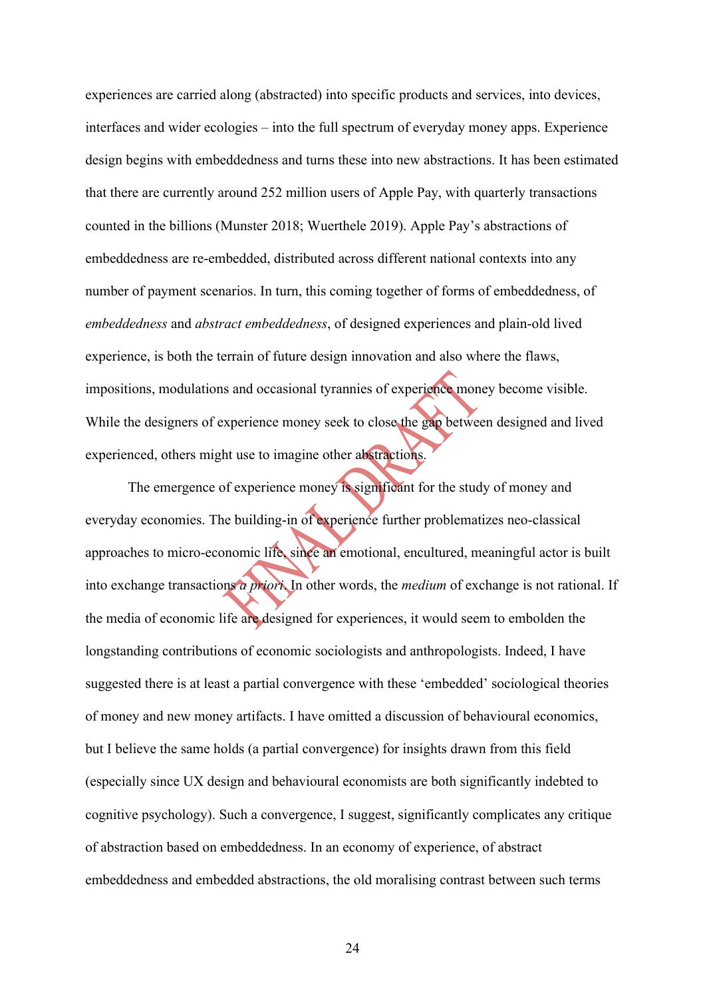experiences are carried along (abstracted) into specific products and services, into devices, interfaces and wider ecologies – into the full spectrum of everyday money apps. Experience design begins with embeddedness and turns these into new abstractions. It has been estimated that there are currently around 252 million users of Apple Pay, with quarterly transactions counted in the billions (Munster 2018; Wuerthele 2019). Apple Pay's abstractions of embeddedness are re-embedded, distributed across different national contexts into any number of payment scenarios. In turn, this coming together of forms of embeddedness, of *embeddedness* and *abstract embeddedness*, of designed experiences and plain-old lived experience, is both the terrain of future design innovation and also where the flaws, impositions, modulations and occasional tyrannies of experience money become visible. While the designers of experience money seek to close the gap between designed and lived experienced, others might use to imagine other abstractions.

The emergence of experience money is significant for the study of money and everyday economies. The building-in of experience further problematizes neo-classical approaches to micro-economic life, since an emotional, encultured, meaningful actor is built into exchange transactions *a priori*. In other words, the *medium* of exchange is not rational. If the media of economic life are designed for experiences, it would seem to embolden the longstanding contributions of economic sociologists and anthropologists. Indeed, I have suggested there is at least a partial convergence with these 'embedded' sociological theories of money and new money artifacts. I have omitted a discussion of behavioural economics, but I believe the same holds (a partial convergence) for insights drawn from this field (especially since UX design and behavioural economists are both significantly indebted to cognitive psychology). Such a convergence, I suggest, significantly complicates any critique of abstraction based on embeddedness. In an economy of experience, of abstract embeddedness and embedded abstractions, the old moralising contrast between such terms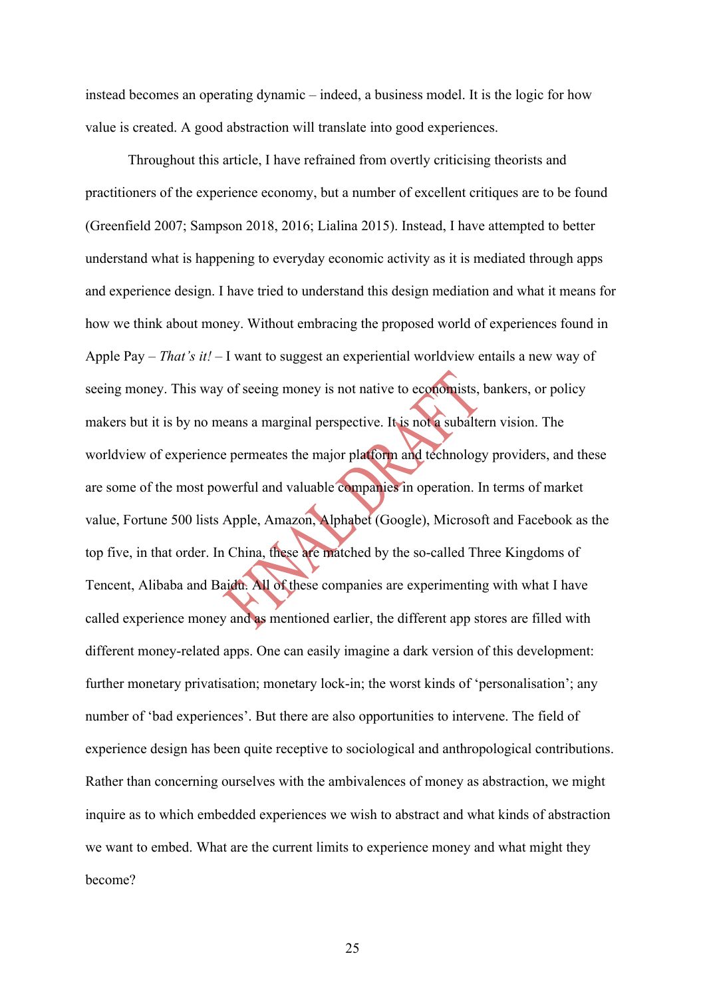instead becomes an operating dynamic – indeed, a business model. It is the logic for how value is created. A good abstraction will translate into good experiences.

Throughout this article, I have refrained from overtly criticising theorists and practitioners of the experience economy, but a number of excellent critiques are to be found (Greenfield 2007; Sampson 2018, 2016; Lialina 2015). Instead, I have attempted to better understand what is happening to everyday economic activity as it is mediated through apps and experience design. I have tried to understand this design mediation and what it means for how we think about money. Without embracing the proposed world of experiences found in Apple Pay – *That's it! –* I want to suggest an experiential worldview entails a new way of seeing money. This way of seeing money is not native to economists, bankers, or policy makers but it is by no means a marginal perspective. It is not a subaltern vision. The worldview of experience permeates the major platform and technology providers, and these are some of the most powerful and valuable companies in operation. In terms of market value, Fortune 500 lists Apple, Amazon, Alphabet (Google), Microsoft and Facebook as the top five, in that order. In China, these are matched by the so-called Three Kingdoms of Tencent, Alibaba and Baidu. All of these companies are experimenting with what I have called experience money and as mentioned earlier, the different app stores are filled with different money-related apps. One can easily imagine a dark version of this development: further monetary privatisation; monetary lock-in; the worst kinds of 'personalisation'; any number of 'bad experiences'. But there are also opportunities to intervene. The field of experience design has been quite receptive to sociological and anthropological contributions. Rather than concerning ourselves with the ambivalences of money as abstraction, we might inquire as to which embedded experiences we wish to abstract and what kinds of abstraction we want to embed. What are the current limits to experience money and what might they become?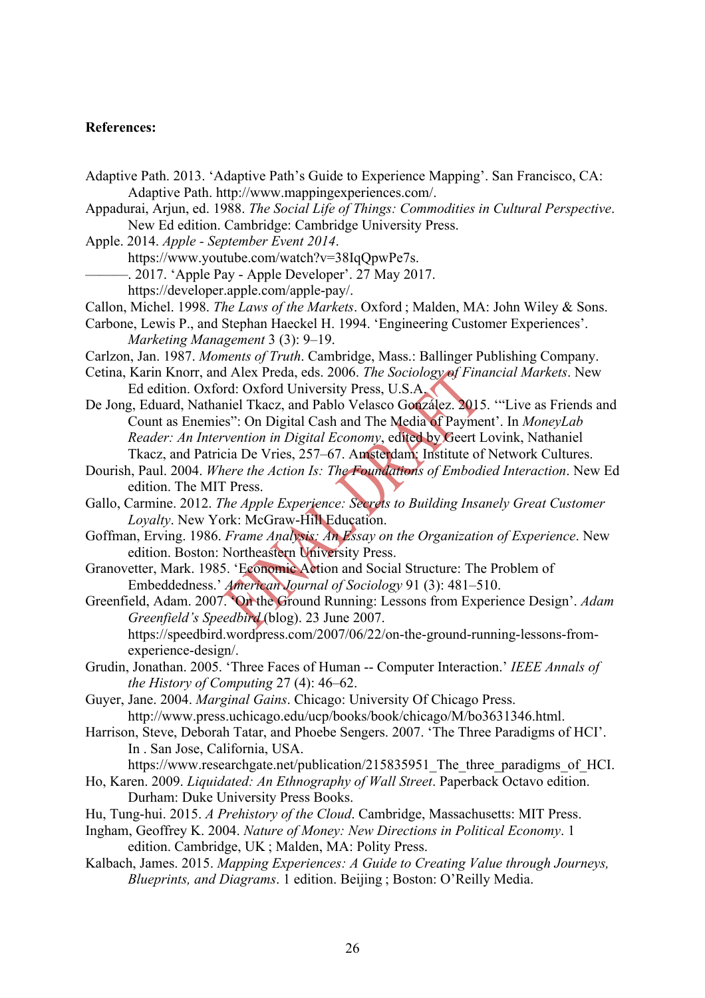### **References:**

- Adaptive Path. 2013. 'Adaptive Path's Guide to Experience Mapping'. San Francisco, CA: Adaptive Path. http://www.mappingexperiences.com/.
- Appadurai, Arjun, ed. 1988. *The Social Life of Things: Commodities in Cultural Perspective*. New Ed edition. Cambridge: Cambridge University Press.
- Apple. 2014. *Apple - September Event 2014*.
	- https://www.youtube.com/watch?v=38IqQpwPe7s.
		- -. 2017. 'Apple Pay Apple Developer'. 27 May 2017.
		- https://developer.apple.com/apple-pay/.
- Callon, Michel. 1998. *The Laws of the Markets*. Oxford ; Malden, MA: John Wiley & Sons.
- Carbone, Lewis P., and Stephan Haeckel H. 1994. 'Engineering Customer Experiences'. *Marketing Management* 3 (3): 9–19.
- Carlzon, Jan. 1987. *Moments of Truth*. Cambridge, Mass.: Ballinger Publishing Company.
- Cetina, Karin Knorr, and Alex Preda, eds. 2006. *The Sociology of Financial Markets*. New Ed edition. Oxford: Oxford University Press, U.S.A.
- De Jong, Eduard, Nathaniel Tkacz, and Pablo Velasco González. 2015. '"Live as Friends and Count as Enemies": On Digital Cash and The Media of Payment'. In *MoneyLab Reader: An Intervention in Digital Economy*, edited by Geert Lovink, Nathaniel Tkacz, and Patricia De Vries, 257–67. Amsterdam: Institute of Network Cultures.
- Dourish, Paul. 2004. *Where the Action Is: The Foundations of Embodied Interaction*. New Ed edition. The MIT Press.
- Gallo, Carmine. 2012. *The Apple Experience: Secrets to Building Insanely Great Customer Loyalty*. New York: McGraw-Hill Education.
- Goffman, Erving. 1986. *Frame Analysis: An Essay on the Organization of Experience*. New edition. Boston: Northeastern University Press.
- Granovetter, Mark. 1985. 'Economic Action and Social Structure: The Problem of Embeddedness.' *American Journal of Sociology* 91 (3): 481–510.
- Greenfield, Adam. 2007. 'On the Ground Running: Lessons from Experience Design'. *Adam Greenfield's Speedbird* (blog). 23 June 2007. https://speedbird.wordpress.com/2007/06/22/on-the-ground-running-lessons-fromexperience-design/.
- Grudin, Jonathan. 2005. 'Three Faces of Human -- Computer Interaction.' *IEEE Annals of the History of Computing* 27 (4): 46–62.
- Guyer, Jane. 2004. *Marginal Gains*. Chicago: University Of Chicago Press. http://www.press.uchicago.edu/ucp/books/book/chicago/M/bo3631346.html.
- Harrison, Steve, Deborah Tatar, and Phoebe Sengers. 2007. 'The Three Paradigms of HCI'. In . San Jose, California, USA.
	- https://www.researchgate.net/publication/215835951 The three paradigms of HCI.
- Ho, Karen. 2009. *Liquidated: An Ethnography of Wall Street*. Paperback Octavo edition. Durham: Duke University Press Books.
- Hu, Tung-hui. 2015. *A Prehistory of the Cloud*. Cambridge, Massachusetts: MIT Press.
- Ingham, Geoffrey K. 2004. *Nature of Money: New Directions in Political Economy*. 1 edition. Cambridge, UK ; Malden, MA: Polity Press.
- Kalbach, James. 2015. *Mapping Experiences: A Guide to Creating Value through Journeys, Blueprints, and Diagrams*. 1 edition. Beijing ; Boston: O'Reilly Media.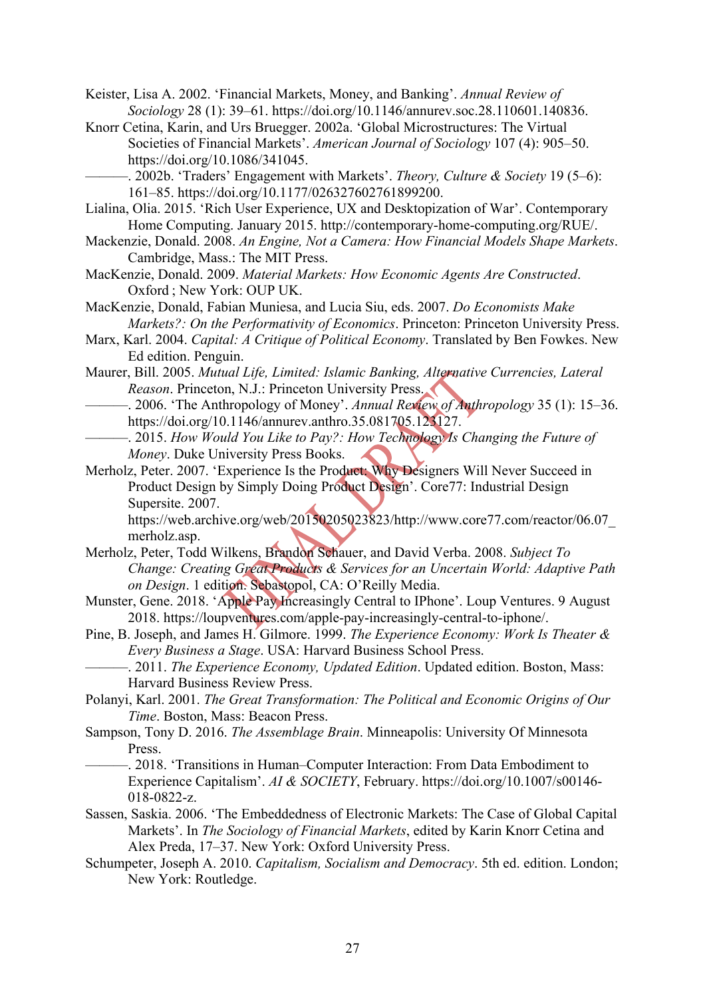Keister, Lisa A. 2002. 'Financial Markets, Money, and Banking'. *Annual Review of Sociology* 28 (1): 39–61. https://doi.org/10.1146/annurev.soc.28.110601.140836.

Knorr Cetina, Karin, and Urs Bruegger. 2002a. 'Global Microstructures: The Virtual Societies of Financial Markets'. *American Journal of Sociology* 107 (4): 905–50. https://doi.org/10.1086/341045.

———. 2002b. 'Traders' Engagement with Markets'. *Theory, Culture & Society* 19 (5–6): 161–85. https://doi.org/10.1177/026327602761899200.

- Lialina, Olia. 2015. 'Rich User Experience, UX and Desktopization of War'. Contemporary Home Computing. January 2015. http://contemporary-home-computing.org/RUE/.
- Mackenzie, Donald. 2008. *An Engine, Not a Camera: How Financial Models Shape Markets*. Cambridge, Mass.: The MIT Press.
- MacKenzie, Donald. 2009. *Material Markets: How Economic Agents Are Constructed*. Oxford ; New York: OUP UK.
- MacKenzie, Donald, Fabian Muniesa, and Lucia Siu, eds. 2007. *Do Economists Make Markets?: On the Performativity of Economics. Princeton: Princeton University Press.*
- Marx, Karl. 2004. *Capital: A Critique of Political Economy*. Translated by Ben Fowkes. New Ed edition. Penguin.
- Maurer, Bill. 2005. *Mutual Life, Limited: Islamic Banking, Alternative Currencies, Lateral Reason*. Princeton, N.J.: Princeton University Press.
	- ———. 2006. 'The Anthropology of Money'. *Annual Review of Anthropology* 35 (1): 15–36. https://doi.org/10.1146/annurev.anthro.35.081705.123127.
- ———. 2015. *How Would You Like to Pay?: How Technology Is Changing the Future of Money*. Duke University Press Books.
- Merholz, Peter. 2007. 'Experience Is the Product: Why Designers Will Never Succeed in Product Design by Simply Doing Product Design'. Core77: Industrial Design Supersite. 2007.

https://web.archive.org/web/20150205023823/http://www.core77.com/reactor/06.07\_ merholz.asp.

- Merholz, Peter, Todd Wilkens, Brandon Schauer, and David Verba. 2008. *Subject To Change: Creating Great Products & Services for an Uncertain World: Adaptive Path on Design*. 1 edition. Sebastopol, CA: O'Reilly Media.
- Munster, Gene. 2018. 'Apple Pay Increasingly Central to IPhone'. Loup Ventures. 9 August 2018. https://loupventures.com/apple-pay-increasingly-central-to-iphone/.
- Pine, B. Joseph, and James H. Gilmore. 1999. *The Experience Economy: Work Is Theater & Every Business a Stage*. USA: Harvard Business School Press.
	- ———. 2011. *The Experience Economy, Updated Edition*. Updated edition. Boston, Mass: Harvard Business Review Press.

Polanyi, Karl. 2001. *The Great Transformation: The Political and Economic Origins of Our Time*. Boston, Mass: Beacon Press.

- Sampson, Tony D. 2016. *The Assemblage Brain*. Minneapolis: University Of Minnesota Press.
	- -. 2018. 'Transitions in Human–Computer Interaction: From Data Embodiment to Experience Capitalism'. *AI & SOCIETY*, February. https://doi.org/10.1007/s00146- 018-0822-z.
- Sassen, Saskia. 2006. 'The Embeddedness of Electronic Markets: The Case of Global Capital Markets'. In *The Sociology of Financial Markets*, edited by Karin Knorr Cetina and Alex Preda, 17–37. New York: Oxford University Press.
- Schumpeter, Joseph A. 2010. *Capitalism, Socialism and Democracy*. 5th ed. edition. London; New York: Routledge.